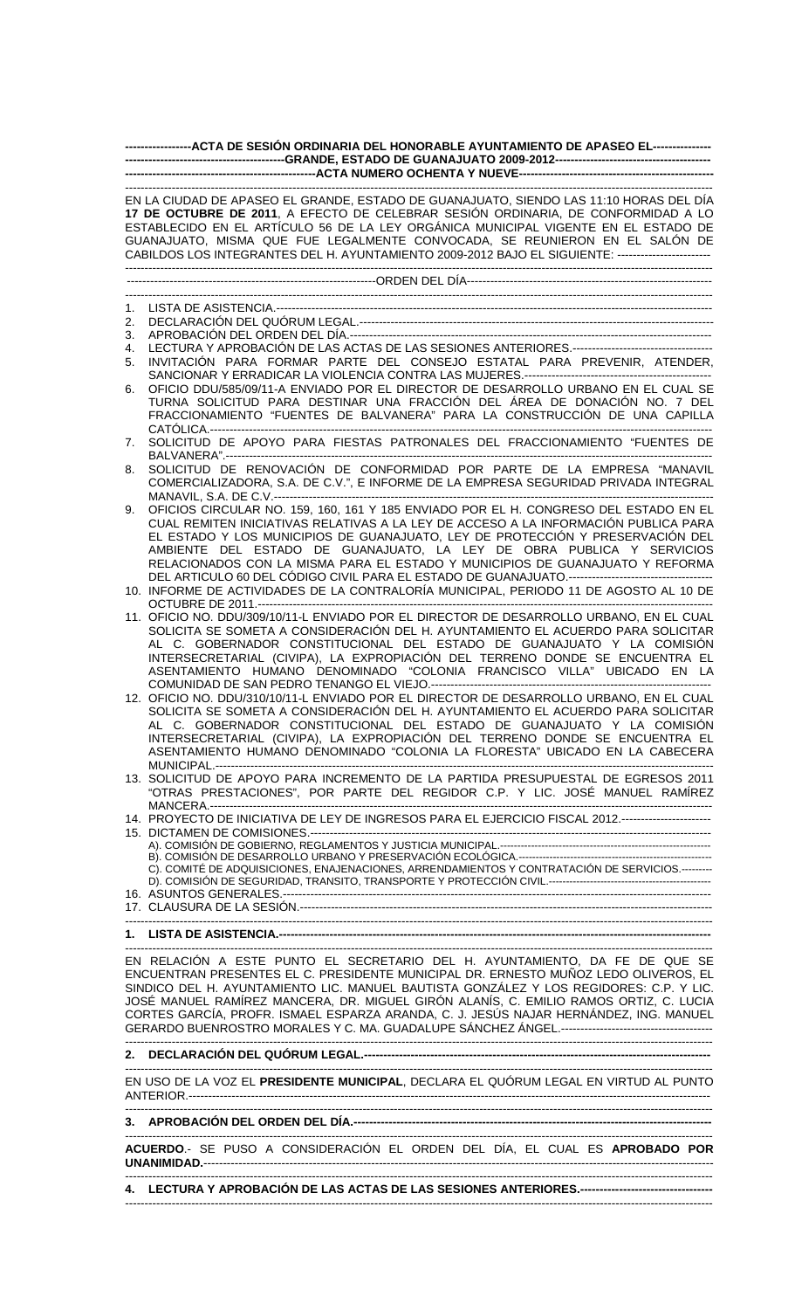| ------------------ACTA DE SESIÓN ORDINARIA DEL HONORABLE AYUNTAMIENTO DE APASEO EL---------------- |                                                                                                                                                                                                                                                                                                                                                                                                                                                         |  |  |  |  |  |  |  |
|----------------------------------------------------------------------------------------------------|---------------------------------------------------------------------------------------------------------------------------------------------------------------------------------------------------------------------------------------------------------------------------------------------------------------------------------------------------------------------------------------------------------------------------------------------------------|--|--|--|--|--|--|--|
|                                                                                                    |                                                                                                                                                                                                                                                                                                                                                                                                                                                         |  |  |  |  |  |  |  |
|                                                                                                    | EN LA CIUDAD DE APASEO EL GRANDE, ESTADO DE GUANAJUATO, SIENDO LAS 11:10 HORAS DEL DÍA<br>17 DE OCTUBRE DE 2011, A EFECTO DE CELEBRAR SESIÓN ORDINARIA, DE CONFORMIDAD A LO<br>ESTABLECIDO EN EL ARTÍCULO 56 DE LA LEY ORGÁNICA MUNICIPAL VIGENTE EN EL ESTADO DE<br>GUANAJUATO, MISMA QUE FUE LEGALMENTE CONVOCADA, SE REUNIERON EN EL SALÓN DE<br>CABILDOS LOS INTEGRANTES DEL H. AYUNTAMIENTO 2009-2012 BAJO EL SIGUIENTE: ------------------------- |  |  |  |  |  |  |  |
|                                                                                                    |                                                                                                                                                                                                                                                                                                                                                                                                                                                         |  |  |  |  |  |  |  |
| 1.                                                                                                 |                                                                                                                                                                                                                                                                                                                                                                                                                                                         |  |  |  |  |  |  |  |
| 2.                                                                                                 |                                                                                                                                                                                                                                                                                                                                                                                                                                                         |  |  |  |  |  |  |  |
| 3.                                                                                                 |                                                                                                                                                                                                                                                                                                                                                                                                                                                         |  |  |  |  |  |  |  |
| 4.<br>5.                                                                                           | INVITACIÓN PARA FORMAR PARTE DEL CONSEJO ESTATAL PARA PREVENIR, ATENDER,                                                                                                                                                                                                                                                                                                                                                                                |  |  |  |  |  |  |  |
| 6.                                                                                                 | OFICIO DDU/585/09/11-A ENVIADO POR EL DIRECTOR DE DESARROLLO URBANO EN EL CUAL SE                                                                                                                                                                                                                                                                                                                                                                       |  |  |  |  |  |  |  |
|                                                                                                    | TURNA SOLICITUD PARA DESTINAR UNA FRACCIÓN DEL ÁREA DE DONACIÓN NO. 7 DEL<br>FRACCIONAMIENTO "FUENTES DE BALVANERA" PARA LA CONSTRUCCIÓN DE UNA CAPILLA                                                                                                                                                                                                                                                                                                 |  |  |  |  |  |  |  |
| 7.                                                                                                 | SOLICITUD DE APOYO PARA FIESTAS PATRONALES DEL FRACCIONAMIENTO "FUENTES DE                                                                                                                                                                                                                                                                                                                                                                              |  |  |  |  |  |  |  |
| 8.                                                                                                 | SOLICITUD DE RENOVACIÓN DE CONFORMIDAD POR PARTE DE LA EMPRESA "MANAVIL<br>COMERCIALIZADORA, S.A. DE C.V.", E INFORME DE LA EMPRESA SEGURIDAD PRIVADA INTEGRAL                                                                                                                                                                                                                                                                                          |  |  |  |  |  |  |  |
| 9.                                                                                                 | OFICIOS CIRCULAR NO. 159, 160, 161 Y 185 ENVIADO POR EL H. CONGRESO DEL ESTADO EN EL                                                                                                                                                                                                                                                                                                                                                                    |  |  |  |  |  |  |  |
|                                                                                                    | CUAL REMITEN INICIATIVAS RELATIVAS A LA LEY DE ACCESO A LA INFORMACIÓN PUBLICA PARA                                                                                                                                                                                                                                                                                                                                                                     |  |  |  |  |  |  |  |
|                                                                                                    | EL ESTADO Y LOS MUNICIPIOS DE GUANAJUATO, LEY DE PROTECCIÓN Y PRESERVACIÓN DEL<br>AMBIENTE DEL ESTADO DE GUANAJUATO, LA LEY DE OBRA PUBLICA Y SERVICIOS                                                                                                                                                                                                                                                                                                 |  |  |  |  |  |  |  |
|                                                                                                    | RELACIONADOS CON LA MISMA PARA EL ESTADO Y MUNICIPIOS DE GUANAJUATO Y REFORMA                                                                                                                                                                                                                                                                                                                                                                           |  |  |  |  |  |  |  |
|                                                                                                    |                                                                                                                                                                                                                                                                                                                                                                                                                                                         |  |  |  |  |  |  |  |
|                                                                                                    | 10. INFORME DE ACTIVIDADES DE LA CONTRALORÍA MUNICIPAL, PERIODO 11 DE AGOSTO AL 10 DE                                                                                                                                                                                                                                                                                                                                                                   |  |  |  |  |  |  |  |
|                                                                                                    | 11. OFICIO NO. DDU/309/10/11-L ENVIADO POR EL DIRECTOR DE DESARROLLO URBANO, EN EL CUAL<br>SOLICITA SE SOMETA A CONSIDERACIÓN DEL H. AYUNTAMIENTO EL ACUERDO PARA SOLICITAR                                                                                                                                                                                                                                                                             |  |  |  |  |  |  |  |
|                                                                                                    | AL C. GOBERNADOR CONSTITUCIONAL DEL ESTADO DE GUANAJUATO Y LA COMISIÓN                                                                                                                                                                                                                                                                                                                                                                                  |  |  |  |  |  |  |  |
|                                                                                                    | INTERSECRETARIAL (CIVIPA), LA EXPROPIACIÓN DEL TERRENO DONDE SE ENCUENTRA EL<br>ASENTAMIENTO HUMANO DENOMINADO "COLONIA FRANCISCO VILLA" UBICADO EN LA                                                                                                                                                                                                                                                                                                  |  |  |  |  |  |  |  |
|                                                                                                    | 12. OFICIO NO. DDU/310/10/11-L ENVIADO POR EL DIRECTOR DE DESARROLLO URBANO, EN EL CUAL                                                                                                                                                                                                                                                                                                                                                                 |  |  |  |  |  |  |  |
|                                                                                                    | SOLICITA SE SOMETA A CONSIDERACIÓN DEL H. AYUNTAMIENTO EL ACUERDO PARA SOLICITAR                                                                                                                                                                                                                                                                                                                                                                        |  |  |  |  |  |  |  |
|                                                                                                    | AL C. GOBERNADOR CONSTITUCIONAL DEL ESTADO DE GUANAJUATO Y LA COMISIÓN                                                                                                                                                                                                                                                                                                                                                                                  |  |  |  |  |  |  |  |
|                                                                                                    | INTERSECRETARIAL (CIVIPA), LA EXPROPIACIÓN DEL TERRENO DONDE SE ENCUENTRA EL<br>ASENTAMIENTO HUMANO DENOMINADO "COLONIA LA FLORESTA" UBICADO EN LA CABECERA                                                                                                                                                                                                                                                                                             |  |  |  |  |  |  |  |
|                                                                                                    |                                                                                                                                                                                                                                                                                                                                                                                                                                                         |  |  |  |  |  |  |  |
|                                                                                                    | 13. SOLICITUD DE APOYO PARA INCREMENTO DE LA PARTIDA PRESUPUESTAL DE EGRESOS 2011                                                                                                                                                                                                                                                                                                                                                                       |  |  |  |  |  |  |  |
|                                                                                                    | "OTRAS PRESTACIONES", POR PARTE DEL REGIDOR C.P. Y LIC. JOSÉ MANUEL RAMÍREZ                                                                                                                                                                                                                                                                                                                                                                             |  |  |  |  |  |  |  |
|                                                                                                    | 14. PROYECTO DE INICIATIVA DE LEY DE INGRESOS PARA EL EJERCICIO FISCAL 2012.----------------------                                                                                                                                                                                                                                                                                                                                                      |  |  |  |  |  |  |  |
|                                                                                                    |                                                                                                                                                                                                                                                                                                                                                                                                                                                         |  |  |  |  |  |  |  |
|                                                                                                    | C). COMITÉ DE ADQUISICIONES, ENAJENACIONES, ARRENDAMIENTOS Y CONTRATACIÓN DE SERVICIOS.---------                                                                                                                                                                                                                                                                                                                                                        |  |  |  |  |  |  |  |
|                                                                                                    |                                                                                                                                                                                                                                                                                                                                                                                                                                                         |  |  |  |  |  |  |  |
|                                                                                                    |                                                                                                                                                                                                                                                                                                                                                                                                                                                         |  |  |  |  |  |  |  |
|                                                                                                    |                                                                                                                                                                                                                                                                                                                                                                                                                                                         |  |  |  |  |  |  |  |
|                                                                                                    | EN RELACIÓN A ESTE PUNTO EL SECRETARIO DEL H. AYUNTAMIENTO, DA FE DE QUE SE                                                                                                                                                                                                                                                                                                                                                                             |  |  |  |  |  |  |  |
|                                                                                                    | ENCUENTRAN PRESENTES EL C. PRESIDENTE MUNICIPAL DR. ERNESTO MUÑOZ LEDO OLIVEROS, EL                                                                                                                                                                                                                                                                                                                                                                     |  |  |  |  |  |  |  |
|                                                                                                    | SINDICO DEL H. AYUNTAMIENTO LIC. MANUEL BAUTISTA GONZÁLEZ Y LOS REGIDORES: C.P. Y LIC.                                                                                                                                                                                                                                                                                                                                                                  |  |  |  |  |  |  |  |
|                                                                                                    | JOSÉ MANUEL RAMÍREZ MANCERA, DR. MIGUEL GIRÓN ALANÍS, C. EMILIO RAMOS ORTIZ, C. LUCIA                                                                                                                                                                                                                                                                                                                                                                   |  |  |  |  |  |  |  |
|                                                                                                    | CORTES GARCÍA, PROFR. ISMAEL ESPARZA ARANDA, C. J. JESÚS NAJAR HERNÁNDEZ, ING. MANUEL                                                                                                                                                                                                                                                                                                                                                                   |  |  |  |  |  |  |  |
|                                                                                                    |                                                                                                                                                                                                                                                                                                                                                                                                                                                         |  |  |  |  |  |  |  |
|                                                                                                    | EN USO DE LA VOZ EL PRESIDENTE MUNICIPAL, DECLARA EL QUÓRUM LEGAL EN VIRTUD AL PUNTO                                                                                                                                                                                                                                                                                                                                                                    |  |  |  |  |  |  |  |
|                                                                                                    |                                                                                                                                                                                                                                                                                                                                                                                                                                                         |  |  |  |  |  |  |  |
|                                                                                                    |                                                                                                                                                                                                                                                                                                                                                                                                                                                         |  |  |  |  |  |  |  |

------------------------------------------------------------------------------------------------------------------------------------------------------- **ACUERDO**.- SE PUSO A CONSIDERACIÓN EL ORDEN DEL DÍA, EL CUAL ES **APROBADO POR UNANIMIDAD.**----------------------------------------------------------------------------------------------------------------------------------- -------------------------------------------------------------------------------------------------------------------------------------------------------

-------------------------------------------------------------------------------------------------------------------------------------------------------

**4. LECTURA Y APROBACIÓN DE LAS ACTAS DE LAS SESIONES ANTERIORES.----------------------------------**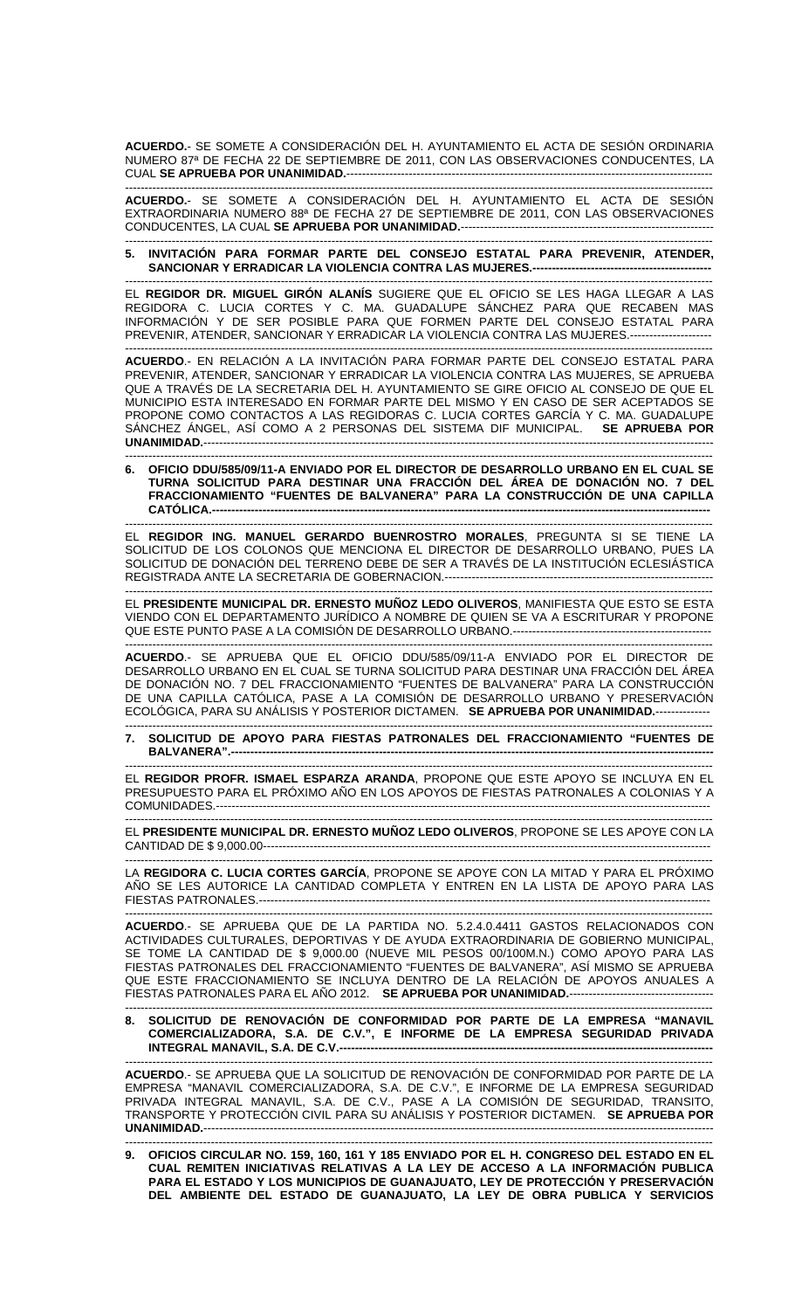**ACUERDO.**- SE SOMETE A CONSIDERACIÓN DEL H. AYUNTAMIENTO EL ACTA DE SESIÓN ORDINARIA NUMERO 87ª DE FECHA 22 DE SEPTIEMBRE DE 2011, CON LAS OBSERVACIONES CONDUCENTES, LA CUAL **SE APRUEBA POR UNANIMIDAD.**---------------------------------------------------------------------------------------------- -------------------------------------------------------------------------------------------------------------------------------------------------------

**ACUERDO.**- SE SOMETE A CONSIDERACIÓN DEL H. AYUNTAMIENTO EL ACTA DE SESIÓN EXTRAORDINARIA NUMERO 88ª DE FECHA 27 DE SEPTIEMBRE DE 2011, CON LAS OBSERVACIONES CONDUCENTES, LA CUAL **SE APRUEBA POR UNANIMIDAD.**-----------------------------------------------------------------

------------------------------------------------------------------------------------------------------------------------------------------------------- **5. INVITACIÓN PARA FORMAR PARTE DEL CONSEJO ESTATAL PARA PREVENIR, ATENDER,**  SANCIONAR Y ERRADICAR LA VIOLENCIA CONTRA LAS MUJERES.---------------------

------------------------------------------------------------------------------------------------------------------------------------------------------- EL **REGIDOR DR. MIGUEL GIRÓN ALANÍS** SUGIERE QUE EL OFICIO SE LES HAGA LLEGAR A LAS REGIDORA C. LUCIA CORTES Y C. MA. GUADALUPE SÁNCHEZ PARA QUE RECABEN MAS INFORMACIÓN Y DE SER POSIBLE PARA QUE FORMEN PARTE DEL CONSEJO ESTATAL PARA PREVENIR, ATENDER, SANCIONAR Y ERRADICAR LA VIOLENCIA CONTRA LAS MUJERES.---------------------

------------------------------------------------------------------------------------------------------------------------------------------------------- **ACUERDO**.- EN RELACIÓN A LA INVITACIÓN PARA FORMAR PARTE DEL CONSEJO ESTATAL PARA PREVENIR, ATENDER, SANCIONAR Y ERRADICAR LA VIOLENCIA CONTRA LAS MUJERES, SE APRUEBA QUE A TRAVÉS DE LA SECRETARIA DEL H. AYUNTAMIENTO SE GIRE OFICIO AL CONSEJO DE QUE EL MUNICIPIO ESTA INTERESADO EN FORMAR PARTE DEL MISMO Y EN CASO DE SER ACEPTADOS SE PROPONE COMO CONTACTOS A LAS REGIDORAS C. LUCIA CORTES GARCÍA Y C. MA. GUADALUPE SÁNCHEZ ÁNGEL, ASÍ COMO A 2 PERSONAS DEL SISTEMA DIF MUNICIPAL. **SE APRUEBA POR UNANIMIDAD.------**

------------------------------------------------------------------------------------------------------------------------------------------------------- **6. OFICIO DDU/585/09/11-A ENVIADO POR EL DIRECTOR DE DESARROLLO URBANO EN EL CUAL SE TURNA SOLICITUD PARA DESTINAR UNA FRACCIÓN DEL ÁREA DE DONACIÓN NO. 7 DEL FRACCIONAMIENTO "FUENTES DE BALVANERA" PARA LA CONSTRUCCIÓN DE UNA CAPILLA CATÓLICA.------------------------------**

------------------------------------------------------------------------------------------------------------------------------------------------------- EL **REGIDOR ING. MANUEL GERARDO BUENROSTRO MORALES**, PREGUNTA SI SE TIENE LA SOLICITUD DE LOS COLONOS QUE MENCIONA EL DIRECTOR DE DESARROLLO URBANO, PUES LA SOLICITUD DE DONACIÓN DEL TERRENO DEBE DE SER A TRAVÉS DE LA INSTITUCIÓN ECLESIÁSTICA REGISTRADA ANTE LA SECRETARIA DE GOBERNACION.---------------------------------------------------------------------

------------------------------------------------------------------------------------------------------------------------------------------------------- EL **PRESIDENTE MUNICIPAL DR. ERNESTO MUÑOZ LEDO OLIVEROS**, MANIFIESTA QUE ESTO SE ESTA VIENDO CON EL DEPARTAMENTO JURÍDICO A NOMBRE DE QUIEN SE VA A ESCRITURAR Y PROPONE QUE ESTE PUNTO PASE A LA COMISIÓN DE DESARROLLO URBANO.---------------------------------------------------

------------------------------------------------------------------------------------------------------------------------------------------------------- **ACUERDO**.- SE APRUEBA QUE EL OFICIO DDU/585/09/11-A ENVIADO POR EL DIRECTOR DE DESARROLLO URBANO EN EL CUAL SE TURNA SOLICITUD PARA DESTINAR UNA FRACCIÓN DEL ÁREA DE DONACIÓN NO. 7 DEL FRACCIONAMIENTO "FUENTES DE BALVANERA" PARA LA CONSTRUCCIÓN UNA CAPILLA CATÓLICA, PASE A LA COMISIÓN DE DESARROLLO URBANO Y PRESERVACIÓN ECOLÓGICA, PARA SU ANÁLISIS Y POSTERIOR DICTAMEN. SE APRUEBA POR UNANIMIDAD.----

------------------------------------------------------------------------------------------------------------------------------------------------------- **7. SOLICITUD DE APOYO PARA FIESTAS PATRONALES DEL FRACCIONAMIENTO "FUENTES DE**  BALVANERA".--

------------------------------------------------------------------------------------------------------------------------------------------------------- EL **REGIDOR PROFR. ISMAEL ESPARZA ARANDA**, PROPONE QUE ESTE APOYO SE INCLUYA EN EL PRESUPUESTO PARA EL PRÓXIMO AÑO EN LOS APOYOS DE FIESTAS PATRONALES A COLONIAS Y A COMUNIDADES.-------------------------------------------------------------------------------------------------------------------------------

------------------------------------------------------------------------------------------------------------------------------------------------------- EL **PRESIDENTE MUNICIPAL DR. ERNESTO MUÑOZ LEDO OLIVEROS**, PROPONE SE LES APOYE CON LA CANTIDAD DE \$ 9,000.00-------------------------------------------------------------------------------------------------------------------

------------------------------------------------------------------------------------------------------------------------------------------------------- LA **REGIDORA C. LUCIA CORTES GARCÍA**, PROPONE SE APOYE CON LA MITAD Y PARA EL PRÓXIMO AÑO SE LES AUTORICE LA CANTIDAD COMPLETA Y ENTREN EN LA LISTA DE APOYO PARA LAS FIESTAS PATRONALES.-------------------------------------------------------------------------------------------------------------------- -------------------------------------------------------------------------------------------------------------------------------------------------------

**ACUERDO**.- SE APRUEBA QUE DE LA PARTIDA NO. 5.2.4.0.4411 GASTOS RELACIONADOS CON ACTIVIDADES CULTURALES, DEPORTIVAS Y DE AYUDA EXTRAORDINARIA DE GOBIERNO MUNICIPAL, SE TOME LA CANTIDAD DE \$ 9,000.00 (NUEVE MIL PESOS 00/100M.N.) COMO APOYO PARA LAS FIESTAS PATRONALES DEL FRACCIONAMIENTO "FUENTES DE BALVANERA", ASÍ MISMO SE APRUEBA QUE ESTE FRACCIONAMIENTO SE INCLUYA DENTRO DE LA RELACIÓN DE APOYOS ANUALES A FIESTAS PATRONALES PARA EL AÑO 2012. **SE APRUEBA POR UNANIMIDAD.**-------------------------------------

------------------------------------------------------------------------------------------------------------------------------------------------------- **8. SOLICITUD DE RENOVACIÓN DE CONFORMIDAD POR PARTE DE LA EMPRESA "MANAVIL COMERCIALIZADORA, S.A. DE C.V.", E INFORME DE LA EMPRESA SEGURIDAD PRIVADA INTEGRAL MANAVIL, S.A. DE C.V.------------------------------------------------------------------------------------------------**  -------------------------------------------------------------------------------------------------------------------------------------------------------

**ACUERDO**.- SE APRUEBA QUE LA SOLICITUD DE RENOVACIÓN DE CONFORMIDAD POR PARTE DE LA EMPRESA "MANAVIL COMERCIALIZADORA, S.A. DE C.V.", E INFORME DE LA EMPRESA SEGURIDAD PRIVADA INTEGRAL MANAVIL, S.A. DE C.V., PASE A LA COMISIÓN DE SEGURIDAD, TRANSITO, TRANSPORTE Y PROTECCIÓN CIVIL PARA SU ANÁLISIS Y POSTERIOR DICTAMEN. **SE APRUEBA POR UNANIMIDAD.**-----------------------------------------------------------------------------------------------------------------------------------

------------------------------------------------------------------------------------------------------------------------------------------------------- **9. OFICIOS CIRCULAR NO. 159, 160, 161 Y 185 ENVIADO POR EL H. CONGRESO DEL ESTADO EN EL CUAL REMITEN INICIATIVAS RELATIVAS A LA LEY DE ACCESO A LA INFORMACIÓN PUBLICA PARA EL ESTADO Y LOS MUNICIPIOS DE GUANAJUATO, LEY DE PROTECCIÓN Y PRESERVACIÓN DEL AMBIENTE DEL ESTADO DE GUANAJUATO, LA LEY DE OBRA PUBLICA Y SERVICIOS**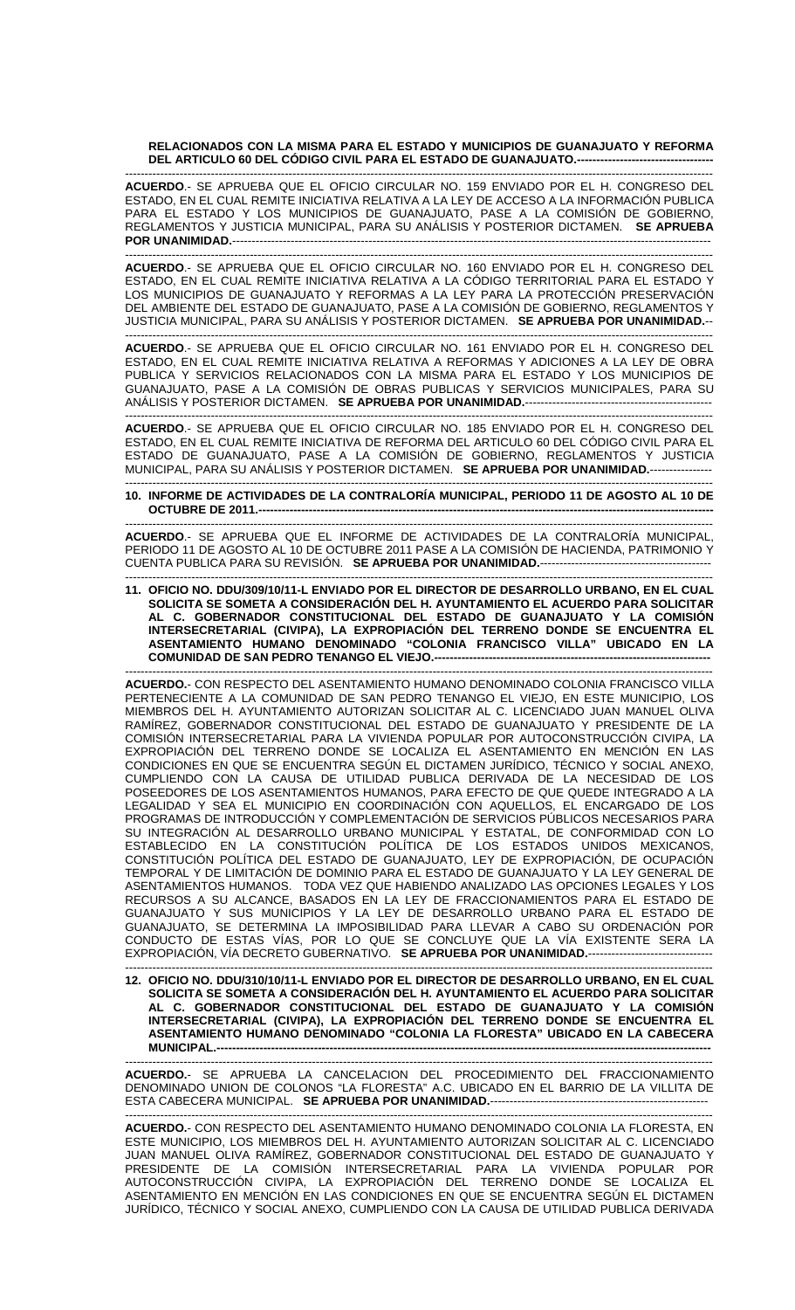**RELACIONADOS CON LA MISMA PARA EL ESTADO Y MUNICIPIOS DE GUANAJUATO Y REFORMA DEL ARTICULO 60 DEL CÓDIGO CIVIL PARA EL ESTADO DE GUANAJUATO.-----------------------------------** 

------------------------------------------------------------------------------------------------------------------------------------------------------- **ACUERDO**.- SE APRUEBA QUE EL OFICIO CIRCULAR NO. 159 ENVIADO POR EL H. CONGRESO DEL ESTADO, EN EL CUAL REMITE INICIATIVA RELATIVA A LA LEY DE ACCESO A LA INFORMACIÓN PUBLICA PARA EL ESTADO Y LOS MUNICIPIOS DE GUANAJUATO, PASE A LA COMISIÓN DE GOBIERNO, REGLAMENTOS Y JUSTICIA MUNICIPAL, PARA SU ANÁLISIS Y POSTERIOR DICTAMEN. **SE APRUEBA POR UNANIMIDAD.---------------------------------**

------------------------------------------------------------------------------------------------------------------------------------------------------- **ACUERDO**.- SE APRUEBA QUE EL OFICIO CIRCULAR NO. 160 ENVIADO POR EL H. CONGRESO DEL ESTADO, EN EL CUAL REMITE INICIATIVA RELATIVA A LA CÓDIGO TERRITORIAL PARA EL ESTADO Y LOS MUNICIPIOS DE GUANAJUATO Y REFORMAS A LA LEY PARA LA PROTECCIÓN PRESERVACIÓN DEL AMBIENTE DEL ESTADO DE GUANAJUATO, PASE A LA COMISIÓN DE GOBIERNO, REGLAMENTOS Y JUSTICIA MUNICIPAL, PARA SU ANÁLISIS Y POSTERIOR DICTAMEN. **SE APRUEBA POR UNANIMIDAD.**--

------------------------------------------------------------------------------------------------------------------------------------------------------- **ACUERDO**.- SE APRUEBA QUE EL OFICIO CIRCULAR NO. 161 ENVIADO POR EL H. CONGRESO DEL ESTADO, EN EL CUAL REMITE INICIATIVA RELATIVA A REFORMAS Y ADICIONES A LA LEY DE OBRA PUBLICA Y SERVICIOS RELACIONADOS CON LA MISMA PARA EL ESTADO Y LOS MUNICIPIOS DE GUANAJUATO, PASE A LA COMISIÓN DE OBRAS PUBLICAS Y SERVICIOS MUNICIPALES, PARA SU ANÁLISIS Y POSTERIOR DICTAMEN. **SE APRUEBA POR UNANIMIDAD.**------------------------------------------------

------------------------------------------------------------------------------------------------------------------------------------------------------- **ACUERDO**.- SE APRUEBA QUE EL OFICIO CIRCULAR NO. 185 ENVIADO POR EL H. CONGRESO DEL ESTADO, EN EL CUAL REMITE INICIATIVA DE REFORMA DEL ARTICULO 60 DEL CÓDIGO CIVIL PARA EL ESTADO DE GUANAJUATO, PASE A LA COMISIÓN DE GOBIERNO, REGLAMENTOS Y JUSTICIA MUNICIPAL, PARA SU ANÁLISIS Y POSTERIOR DICTAMEN. **SE APRUEBA POR UNANIMIDAD.**----------------

## ------------------------------------------------------------------------------------------------------------------------------------------------------- **10. INFORME DE ACTIVIDADES DE LA CONTRALORÍA MUNICIPAL, PERIODO 11 DE AGOSTO AL 10 DE OCTUBRE DE 2011.--**

------------------------------------------------------------------------------------------------------------------------------------------------------- **ACUERDO**.- SE APRUEBA QUE EL INFORME DE ACTIVIDADES DE LA CONTRALORÍA MUNICIPAL, PERIODO 11 DE AGOSTO AL 10 DE OCTUBRE 2011 PASE A LA COMISIÓN DE HACIENDA, PATRIMONIO Y CUENTA PUBLICA PARA SU REVISIÓN. **SE APRUEBA POR UNANIMIDAD.**----

------------------------------------------------------------------------------------------------------------------------------------------------------- **11. OFICIO NO. DDU/309/10/11-L ENVIADO POR EL DIRECTOR DE DESARROLLO URBANO, EN EL CUAL SOLICITA SE SOMETA A CONSIDERACIÓN DEL H. AYUNTAMIENTO EL ACUERDO PARA SOLICITAR AL C. GOBERNADOR CONSTITUCIONAL DEL ESTADO DE GUANAJUATO Y LA COMISIÓN INTERSECRETARIAL (CIVIPA), LA EXPROPIACIÓN DEL TERRENO DONDE SE ENCUENTRA EL ASENTAMIENTO HUMANO DENOMINADO "COLONIA FRANCISCO VILLA" UBICADO EN LA COMUNIDAD DE SAN PEDRO TENANGO EL VIEJO.-----**

------------------------------------------------------------------------------------------------------------------------------------------------------- **ACUERDO.**- CON RESPECTO DEL ASENTAMIENTO HUMANO DENOMINADO COLONIA FRANCISCO VILLA PERTENECIENTE A LA COMUNIDAD DE SAN PEDRO TENANGO EL VIEJO, EN ESTE MUNICIPIO, LOS MIEMBROS DEL H. AYUNTAMIENTO AUTORIZAN SOLICITAR AL C. LICENCIADO JUAN MANUEL OLIVA RAMÍREZ, GOBERNADOR CONSTITUCIONAL DEL ESTADO DE GUANAJUATO Y PRESIDENTE DE LA COMISIÓN INTERSECRETARIAL PARA LA VIVIENDA POPULAR POR AUTOCONSTRUCCIÓN CIVIPA, LA EXPROPIACIÓN DEL TERRENO DONDE SE LOCALIZA EL ASENTAMIENTO EN MENCIÓN EN LAS CONDICIONES EN QUE SE ENCUENTRA SEGÚN EL DICTAMEN JURÍDICO, TÉCNICO Y SOCIAL ANEXO, CUMPLIENDO CON LA CAUSA DE UTILIDAD PUBLICA DERIVADA DE LA NECESIDAD DE LOS POSEEDORES DE LOS ASENTAMIENTOS HUMANOS, PARA EFECTO DE QUE QUEDE INTEGRADO A LA LEGALIDAD Y SEA EL MUNICIPIO EN COORDINACIÓN CON AQUELLOS, EL ENCARGADO DE LOS PROGRAMAS DE INTRODUCCIÓN Y COMPLEMENTACIÓN DE SERVICIOS PÚBLICOS NECESARIOS PARA SU INTEGRACIÓN AL DESARROLLO URBANO MUNICIPAL Y ESTATAL, DE CONFORMIDAD CON LO ESTABLECIDO EN LA CONSTITUCIÓN POLÍTICA DE LOS ESTADOS UNIDOS MEXICANOS, CONSTITUCIÓN POLÍTICA DEL ESTADO DE GUANAJUATO, LEY DE EXPROPIACIÓN, DE OCUPACIÓN TEMPORAL Y DE LIMITACIÓN DE DOMINIO PARA EL ESTADO DE GUANAJUATO Y LA LEY GENERAL DE ASENTAMIENTOS HUMANOS. TODA VEZ QUE HABIENDO ANALIZADO LAS OPCIONES LEGALES Y LOS RECURSOS A SU ALCANCE, BASADOS EN LA LEY DE FRACCIONAMIENTOS PARA EL ESTADO DE GUANAJUATO Y SUS MUNICIPIOS Y LA LEY DE DESARROLLO URBANO PARA EL ESTADO DE GUANAJUATO, SE DETERMINA LA IMPOSIBILIDAD PARA LLEVAR A CABO SU ORDENACIÓN POR CONDUCTO DE ESTAS VÍAS, POR LO QUE SE CONCLUYE QUE LA VÍA EXISTENTE SERA LA EXPROPIACIÓN, VÍA DECRETO GUBERNATIVO. **SE APRUEBA POR UNANIMIDAD.**--------------------------------

------------------------------------------------------------------------------------------------------------------------------------------------------- **12. OFICIO NO. DDU/310/10/11-L ENVIADO POR EL DIRECTOR DE DESARROLLO URBANO, EN EL CUAL SOLICITA SE SOMETA A CONSIDERACIÓN DEL H. AYUNTAMIENTO EL ACUERDO PARA SOLICITAR AL C. GOBERNADOR CONSTITUCIONAL DEL ESTADO DE GUANAJUATO Y LA COMISIÓN INTERSECRETARIAL (CIVIPA), LA EXPROPIACIÓN DEL TERRENO DONDE SE ENCUENTRA EL ASENTAMIENTO HUMANO DENOMINADO "COLONIA LA FLORESTA" UBICADO EN LA CABECERA MUNICIPAL.--**

------------------------------------------------------------------------------------------------------------------------------------------------------- **ACUERDO.**- SE APRUEBA LA CANCELACION DEL PROCEDIMIENTO DEL FRACCIONAMIENTO DENOMINADO UNION DE COLONOS "LA FLORESTA" A.C. UBICADO EN EL BARRIO DE LA VILLITA DE ESTA CABECERA MUNICIPAL. **SE APRUEBA POR UNANIMIDAD.**--------------------------------------------------------

------------------------------------------------------------------------------------------------------------------------------------------------------- **ACUERDO.**- CON RESPECTO DEL ASENTAMIENTO HUMANO DENOMINADO COLONIA LA FLORESTA, EN ESTE MUNICIPIO, LOS MIEMBROS DEL H. AYUNTAMIENTO AUTORIZAN SOLICITAR AL C. LICENCIADO JUAN MANUEL OLIVA RAMÍREZ, GOBERNADOR CONSTITUCIONAL DEL ESTADO DE GUANAJUATO Y PRESIDENTE DE LA COMISIÓN INTERSECRETARIAL PARA LA VIVIENDA POPULAR POR AUTOCONSTRUCCIÓN CIVIPA, LA EXPROPIACIÓN DEL TERRENO DONDE SE LOCALIZA EL ASENTAMIENTO EN MENCIÓN EN LAS CONDICIONES EN QUE SE ENCUENTRA SEGÚN EL DICTAMEN JURÍDICO, TÉCNICO Y SOCIAL ANEXO, CUMPLIENDO CON LA CAUSA DE UTILIDAD PUBLICA DERIVADA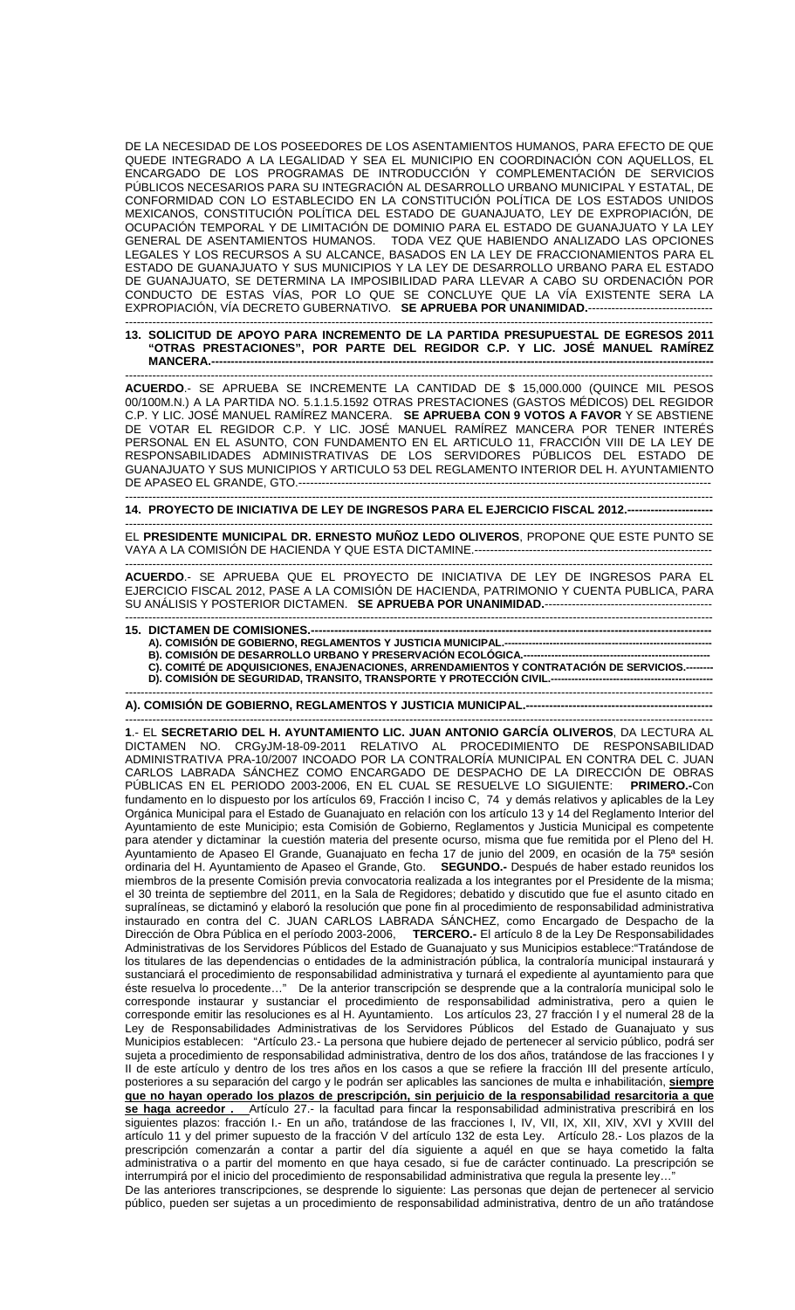DE LA NECESIDAD DE LOS POSEEDORES DE LOS ASENTAMIENTOS HUMANOS, PARA EFECTO DE QUE QUEDE INTEGRADO A LA LEGALIDAD Y SEA EL MUNICIPIO EN COORDINACIÓN CON AQUELLOS, EL ENCARGADO DE LOS PROGRAMAS DE INTRODUCCIÓN Y COMPLEMENTACIÓN DE SERVICIOS PÚBLICOS NECESARIOS PARA SU INTEGRACIÓN AL DESARROLLO URBANO MUNICIPAL Y ESTATAL, DE CONFORMIDAD CON LO ESTABLECIDO EN LA CONSTITUCIÓN POLÍTICA DE LOS ESTADOS UNIDOS MEXICANOS, CONSTITUCIÓN POLÍTICA DEL ESTADO DE GUANAJUATO, LEY DE EXPROPIACIÓN, DE OCUPACIÓN TEMPORAL Y DE LIMITACIÓN DE DOMINIO PARA EL ESTADO DE GUANAJUATO Y LA LEY GENERAL DE ASENTAMIENTOS HUMANOS. TODA VEZ QUE HABIENDO ANALIZADO LAS OPCIONES LEGALES Y LOS RECURSOS A SU ALCANCE, BASADOS EN LA LEY DE FRACCIONAMIENTOS PARA EL ESTADO DE GUANAJUATO Y SUS MUNICIPIOS Y LA LEY DE DESARROLLO URBANO PARA EL ESTADO DE GUANAJUATO, SE DETERMINA LA IMPOSIBILIDAD PARA LLEVAR A CABO SU ORDENACIÓN POR CONDUCTO DE ESTAS VÍAS, POR LO QUE SE CONCLUYE QUE LA VÍA EXISTENTE SERA LA EXPROPIACIÓN, VÍA DECRETO GUBERNATIVO. **SE APRUEBA POR UNANIMIDAD.**--------------------------------

## ------------------------------------------------------------------------------------------------------------------------------------------------------- **13. SOLICITUD DE APOYO PARA INCREMENTO DE LA PARTIDA PRESUPUESTAL DE EGRESOS 2011 "OTRAS PRESTACIONES", POR PARTE DEL REGIDOR C.P. Y LIC. JOSÉ MANUEL RAMÍREZ MANCERA.---------------------------------------------------------------------------------------------------------------------------------**

------------------------------------------------------------------------------------------------------------------------------------------------------- **ACUERDO**.- SE APRUEBA SE INCREMENTE LA CANTIDAD DE \$ 15,000.000 (QUINCE MIL PESOS 00/100M.N.) A LA PARTIDA NO. 5.1.1.5.1592 OTRAS PRESTACIONES (GASTOS MÉDICOS) DEL REGIDOR C.P. Y LIC. JOSÉ MANUEL RAMÍREZ MANCERA. **SE APRUEBA CON 9 VOTOS A FAVOR** Y SE ABSTIENE DE VOTAR EL REGIDOR C.P. Y LIC. JOSÉ MANUEL RAMÍREZ MANCERA POR TENER INTERÉS PERSONAL EN EL ASUNTO, CON FUNDAMENTO EN EL ARTICULO 11, FRACCIÓN VIII DE LA LEY DE RESPONSABILIDADES ADMINISTRATIVAS DE LOS SERVIDORES PÚBLICOS DEL ESTADO DE GUANAJUATO Y SUS MUNICIPIOS Y ARTICULO 53 DEL REGLAMENTO INTERIOR DEL H. AYUNTAMIENTO DE APASEO EL GRANDE, GTO.-----

------------------------------------------------------------------------------------------------------------------------------------------------------- **14. PROYECTO DE INICIATIVA DE LEY DE INGRESOS PARA EL EJERCICIO FISCAL 2012.---**

------------------------------------------------------------------------------------------------------------------------------------------------------- EL **PRESIDENTE MUNICIPAL DR. ERNESTO MUÑOZ LEDO OLIVEROS**, PROPONE QUE ESTE PUNTO SE VAYA A LA COMISIÓN DE HACIENDA Y QUE ESTA DICTAMINE.-------------------------------------------------------------

------------------------------------------------------------------------------------------------------------------------------------------------------- **ACUERDO**.- SE APRUEBA QUE EL PROYECTO DE INICIATIVA DE LEY DE INGRESOS PARA EL EJERCICIO FISCAL 2012, PASE A LA COMISIÓN DE HACIENDA, PATRIMONIO Y CUENTA PUBLICA, PARA SU ANÁLISIS Y POSTERIOR DICTAMEN. **SE APRUEBA POR UNANIMIDAD.**-------------------------------------------

## ------------------------------------------------------------------------------------------------------------------------------------------------------- **15. DICTAMEN DE COMISIONES.-**

- A). COMISIÓN DE GOBIERNO, REGLAMENTOS Y JUSTICIA MUNICIPAL.-
- **B). COMISIÓN DE DESARROLLO URBANO Y PRESERVACIÓN ECOLÓGICA.------------------**

C). COMITÉ DE ADQUISICIONES, ENAJENACIONES, ARRENDAMIENTOS Y CONTRATACIÓN DE SERVICIOS.---**D). COMISIÓN DE SEGURIDAD, TRANSITO, TRANSPORTE Y PROTECCIÓN CIVIL.-----------------------------------------------**  -------------------------------------------------------------------------------------------------------------------------------------------------------

**A). COMISIÓN DE GOBIERNO, REGLAMENTOS Y JUSTICIA MUNICIPAL.------------------------------------------------** 

------------------------------------------------------------------------------------------------------------------------------------------------------- **1**.- EL **SECRETARIO DEL H. AYUNTAMIENTO LIC. JUAN ANTONIO GARCÍA OLIVEROS**, DA LECTURA AL DICTAMEN NO. CRGyJM-18-09-2011 RELATIVO AL PROCEDIMIENTO DE RESPONSABILIDAD ADMINISTRATIVA PRA-10/2007 INCOADO POR LA CONTRALORÍA MUNICIPAL EN CONTRA DEL C. JUAN CARLOS LABRADA SÁNCHEZ COMO ENCARGADO DE DESPACHO DE LA DIRECCIÓN DE OBRAS<br>PÚBLICAS EN EL PERIODO 2003-2006. EN EL CUAL SE RESUELVE LO SIGUIENTE: PRIMERO.-Con PÚBLICAS EN EL PERIODO 2003-2006, EN EL CUAL SE RESUELVE LO SIGUIENTE: fundamento en lo dispuesto por los artículos 69, Fracción I inciso C, 74 y demás relativos y aplicables de la Ley Orgánica Municipal para el Estado de Guanajuato en relación con los artículo 13 y 14 del Reglamento Interior del Ayuntamiento de este Municipio; esta Comisión de Gobierno, Reglamentos y Justicia Municipal es competente para atender y dictaminar la cuestión materia del presente ocurso, misma que fue remitida por el Pleno del H. Ayuntamiento de Apaseo El Grande, Guanajuato en fecha 17 de junio del 2009, en ocasión de la 75ª sesión ordinaria del H. Ayuntamiento de Apaseo el Grande, Gto. **SEGUNDO.-** Después de haber estado reunidos los miembros de la presente Comisión previa convocatoria realizada a los integrantes por el Presidente de la misma; el 30 treinta de septiembre del 2011, en la Sala de Regidores; debatido y discutido que fue el asunto citado en supralíneas, se dictaminó y elaboró la resolución que pone fin al procedimiento de responsabilidad administrativa instaurado en contra del C. JUAN CARLOS LABRADA SÁNCHEZ, como Encargado de Despacho de la Dirección de Obra Pública en el período 2003-2006, **TERCERO.-** El artículo 8 de la Ley De Responsabilidades Administrativas de los Servidores Públicos del Estado de Guanajuato y sus Municipios establece:"Tratándose de los titulares de las dependencias o entidades de la administración pública, la contraloría municipal instaurará y sustanciará el procedimiento de responsabilidad administrativa y turnará el expediente al ayuntamiento para que éste resuelva lo procedente…" De la anterior transcripción se desprende que a la contraloría municipal solo le corresponde instaurar y sustanciar el procedimiento de responsabilidad administrativa, pero a quien le corresponde emitir las resoluciones es al H. Ayuntamiento. Los artículos 23, 27 fracción I y el numeral 28 de la Ley de Responsabilidades Administrativas de los Servidores Públicos del Estado de Guanajuato y sus Municipios establecen: "Artículo 23.- La persona que hubiere dejado de pertenecer al servicio público, podrá ser sujeta a procedimiento de responsabilidad administrativa, dentro de los dos años, tratándose de las fracciones I y II de este artículo y dentro de los tres años en los casos a que se refiere la fracción III del presente artículo, posteriores a su separación del cargo y le podrán ser aplicables las sanciones de multa e inhabilitación, **siempre que no hayan operado los plazos de prescripción, sin perjuicio de la responsabilidad resarcitoria a que se haga acreedor .** Artículo 27.- la facultad para fincar la responsabilidad administrativa prescribirá en los siguientes plazos: fracción I.- En un año, tratándose de las fracciones I, IV, VII, IX, XII, XIV, XVI y XVIII del artículo 11 y del primer supuesto de la fracción V del artículo 132 de esta Ley. Artículo 28.- Los plazos de la prescripción comenzarán a contar a partir del día siguiente a aquél en que se haya cometido la falta administrativa o a partir del momento en que haya cesado, si fue de carácter continuado. La prescripción se interrumpirá por el inicio del procedimiento de responsabilidad administrativa que regula la presente ley... De las anteriores transcripciones, se desprende lo siguiente: Las personas que dejan de pertenecer al servicio público, pueden ser sujetas a un procedimiento de responsabilidad administrativa, dentro de un año tratándose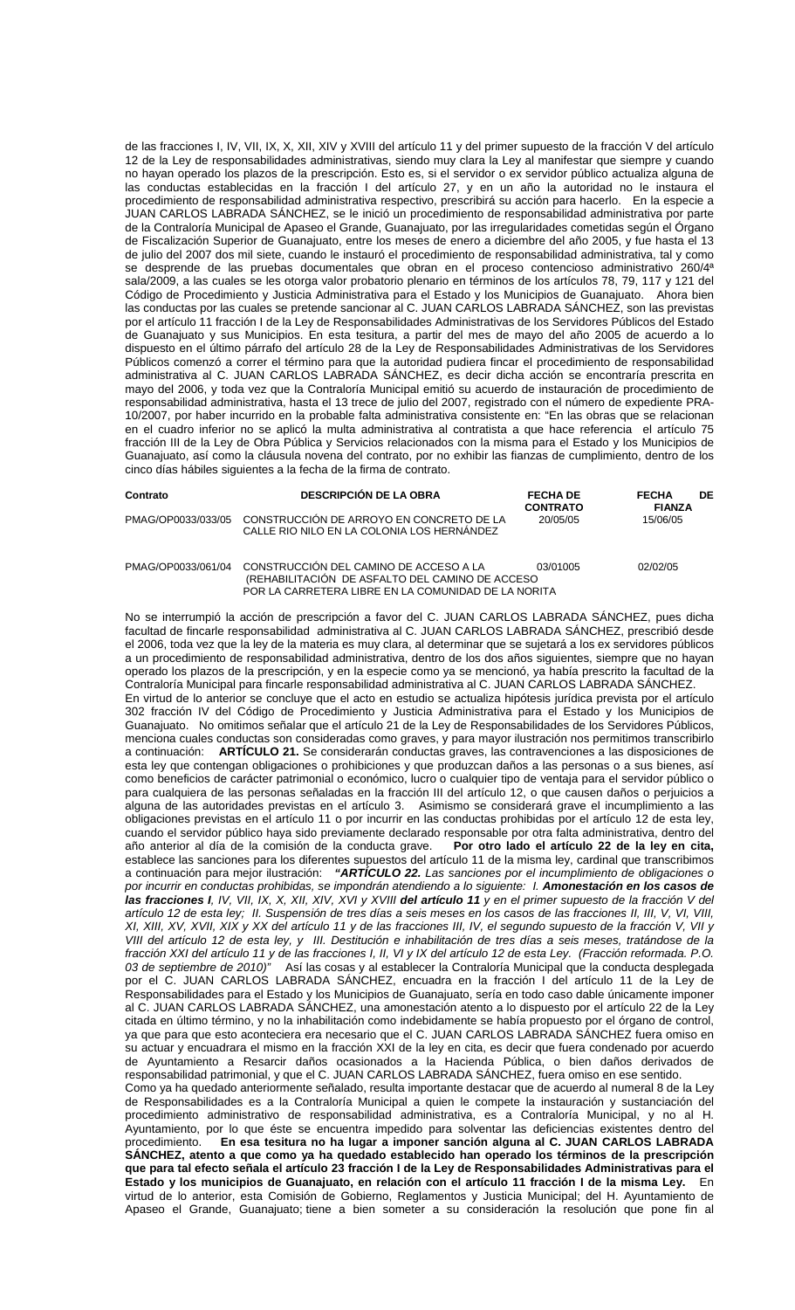de las fracciones I, IV, VII, IX, X, XII, XIV y XVIII del artículo 11 y del primer supuesto de la fracción V del artículo 12 de la Ley de responsabilidades administrativas, siendo muy clara la Ley al manifestar que siempre y cuando no hayan operado los plazos de la prescripción. Esto es, si el servidor o ex servidor público actualiza alguna de las conductas establecidas en la fracción I del artículo 27, y en un año la autoridad no le instaura el procedimiento de responsabilidad administrativa respectivo, prescribirá su acción para hacerlo. En la especie a JUAN CARLOS LABRADA SÁNCHEZ, se le inició un procedimiento de responsabilidad administrativa por parte de la Contraloría Municipal de Apaseo el Grande, Guanajuato, por las irregularidades cometidas según el Órgano de Fiscalización Superior de Guanajuato, entre los meses de enero a diciembre del año 2005, y fue hasta el 13 de julio del 2007 dos mil siete, cuando le instauró el procedimiento de responsabilidad administrativa, tal y como se desprende de las pruebas documentales que obran en el proceso contencioso administrativo 260/4<sup>a</sup> sala/2009, a las cuales se les otorga valor probatorio plenario en términos de los artículos 78, 79, 117 y 121 del Código de Procedimiento y Justicia Administrativa para el Estado y los Municipios de Guanajuato. Ahora bien las conductas por las cuales se pretende sancionar al C. JUAN CARLOS LABRADA SÁNCHEZ, son las previstas por el artículo 11 fracción I de la Ley de Responsabilidades Administrativas de los Servidores Públicos del Estado de Guanajuato y sus Municipios. En esta tesitura, a partir del mes de mayo del año 2005 de acuerdo a lo dispuesto en el último párrafo del artículo 28 de la Ley de Responsabilidades Administrativas de los Servidores Públicos comenzó a correr el término para que la autoridad pudiera fincar el procedimiento de responsabilidad administrativa al C. JUAN CARLOS LABRADA SÁNCHEZ, es decir dicha acción se encontraría prescrita en mayo del 2006, y toda vez que la Contraloría Municipal emitió su acuerdo de instauración de procedimiento de responsabilidad administrativa, hasta el 13 trece de julio del 2007, registrado con el número de expediente PRA-10/2007, por haber incurrido en la probable falta administrativa consistente en: "En las obras que se relacionan en el cuadro inferior no se aplicó la multa administrativa al contratista a que hace referencia el artículo 75 fracción III de la Ley de Obra Pública y Servicios relacionados con la misma para el Estado y los Municipios de Guanajuato, así como la cláusula novena del contrato, por no exhibir las fianzas de cumplimiento, dentro de los cinco días hábiles siguientes a la fecha de la firma de contrato.

| Contrato           | <b>DESCRIPCIÓN DE LA OBRA</b>                                                                                                                    | <b>FECHA DE</b><br><b>CONTRATO</b> | <b>DE</b><br><b>FECHA</b><br><b>FIANZA</b> |
|--------------------|--------------------------------------------------------------------------------------------------------------------------------------------------|------------------------------------|--------------------------------------------|
| PMAG/OP0033/033/05 | CONSTRUCCIÓN DE ARROYO EN CONCRETO DE LA<br>CALLE RIO NILO EN LA COLONIA LOS HERNANDEZ                                                           | 20/05/05                           | 15/06/05                                   |
| PMAG/OP0033/061/04 | CONSTRUCCIÓN DEL CAMINO DE ACCESO A LA<br>(REHABILITACION DE ASFALTO DEL CAMINO DE ACCESO<br>POR LA CARRETERA LIBRE EN LA COMUNIDAD DE LA NORITA | 03/01005                           | 02/02/05                                   |

No se interrumpió la acción de prescripción a favor del C. JUAN CARLOS LABRADA SÁNCHEZ, pues dicha facultad de fincarle responsabilidad administrativa al C. JUAN CARLOS LABRADA SÁNCHEZ, prescribió desde el 2006, toda vez que la ley de la materia es muy clara, al determinar que se sujetará a los ex servidores públicos a un procedimiento de responsabilidad administrativa, dentro de los dos años siguientes, siempre que no hayan operado los plazos de la prescripción, y en la especie como ya se mencionó, ya había prescrito la facultad de la Contraloría Municipal para fincarle responsabilidad administrativa al C. JUAN CARLOS LABRADA SÁNCHEZ. En virtud de lo anterior se concluye que el acto en estudio se actualiza hipótesis jurídica prevista por el artículo 302 fracción IV del Código de Procedimiento y Justicia Administrativa para el Estado y los Municipios de Guanajuato. No omitimos señalar que el artículo 21 de la Ley de Responsabilidades de los Servidores Públicos, menciona cuales conductas son consideradas como graves, y para mayor ilustración nos permitimos transcribirlo a continuación: **ARTÍCULO 21.** Se considerarán conductas graves, las contravenciones a las disposiciones de esta ley que contengan obligaciones o prohibiciones y que produzcan daños a las personas o a sus bienes, así como beneficios de carácter patrimonial o económico, lucro o cualquier tipo de ventaja para el servidor público o para cualquiera de las personas señaladas en la fracción III del artículo 12, o que causen daños o perjuicios a alguna de las autoridades previstas en el artículo 3. Asimismo se considerará grave el incumplimiento a las obligaciones previstas en el artículo 11 o por incurrir en las conductas prohibidas por el artículo 12 de esta ley, cuando el servidor público haya sido previamente declarado responsable por otra falta administrativa, dentro del año anterior al día de la comisión de la conducta grave. **Por otro lado el artículo 22 de la ley en cita,**  establece las sanciones para los diferentes supuestos del artículo 11 de la misma ley, cardinal que transcribimos a continuación para mejor ilustración: **"ARTÍCULO 22.** Las sanciones por el incumplimiento de obligaciones o por incurrir en conductas prohibidas, se impondrán atendiendo a lo siguiente: I. **Amonestación en los casos de las fracciones I**, IV, VII, IX, X, XII, XIV, XVI y XVIII **del artículo 11** y en el primer supuesto de la fracción V del artículo 12 de esta ley; II. Suspensión de tres días a seis meses en los casos de las fracciones II, III, V, VI, VIII, XI, XIII, XV, XVII, XIX y XX del artículo 11 y de las fracciones III, IV, el segundo supuesto de la fracción V, VII y VIII del artículo 12 de esta ley, y III. Destitución e inhabilitación de tres días a seis meses, tratándose de la fracción XXI del artículo 11 y de las fracciones I, II, VI y IX del artículo 12 de esta Ley. (Fracción reformada. P.O. 03 de septiembre de 2010)" Así las cosas y al establecer la Contraloría Municipal que la conducta desplegada por el C. JUAN CARLOS LABRADA SÁNCHEZ, encuadra en la fracción I del artículo 11 de la Ley de Responsabilidades para el Estado y los Municipios de Guanajuato, sería en todo caso dable únicamente imponer al C. JUAN CARLOS LABRADA SÁNCHEZ, una amonestación atento a lo dispuesto por el artículo 22 de la Ley citada en último término, y no la inhabilitación como indebidamente se había propuesto por el órgano de control, ya que para que esto aconteciera era necesario que el C. JUAN CARLOS LABRADA SÁNCHEZ fuera omiso en su actuar y encuadrara el mismo en la fracción XXI de la ley en cita, es decir que fuera condenado por acuerdo de Ayuntamiento a Resarcir daños ocasionados a la Hacienda Pública, o bien daños derivados de responsabilidad patrimonial, y que el C. JUAN CARLOS LABRADA SÁNCHEZ, fuera omiso en ese sentido. Como ya ha quedado anteriormente señalado, resulta importante destacar que de acuerdo al numeral 8 de la Ley de Responsabilidades es a la Contraloría Municipal a quien le compete la instauración y sustanciación del procedimiento administrativo de responsabilidad administrativa, es a Contraloría Municipal, y no al H. Ayuntamiento, por lo que éste se encuentra impedido para solventar las deficiencias existentes dentro del procedimiento. En esa tesitura no ha lugar a imponer sanción alguna al C. JUAN CARLOS LABRADA En esa tesitura no ha lugar a imponer sanción alguna al C. JUAN CARLOS LABRADA **SÁNCHEZ, atento a que como ya ha quedado establecido han operado los términos de la prescripción que para tal efecto señala el artículo 23 fracción I de la Ley de Responsabilidades Administrativas para el Estado y los municipios de Guanajuato, en relación con el artículo 11 fracción I de la misma Ley.** En virtud de lo anterior, esta Comisión de Gobierno, Reglamentos y Justicia Municipal; del H. Ayuntamiento de Apaseo el Grande, Guanajuato; tiene a bien someter a su consideración la resolución que pone fin al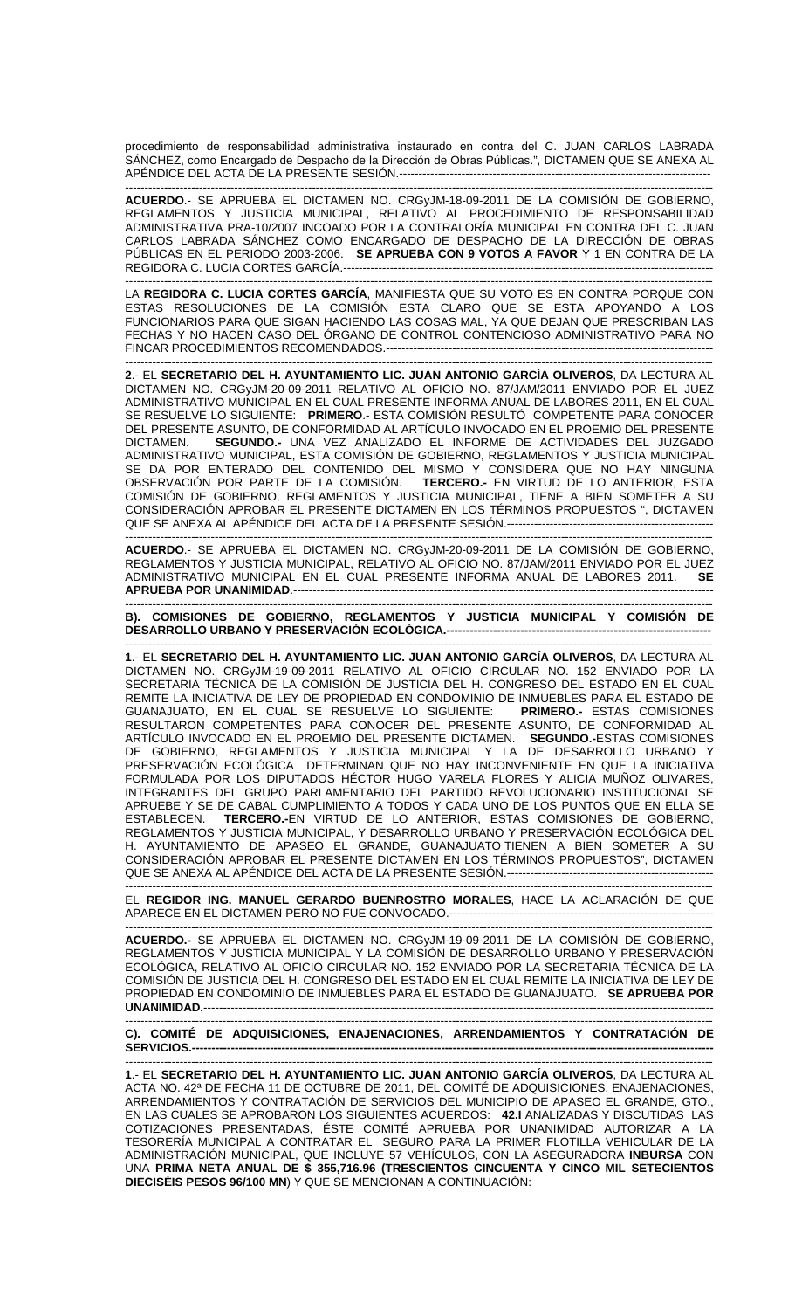procedimiento de responsabilidad administrativa instaurado en contra del C. JUAN CARLOS LABRADA SÁNCHEZ, como Encargado de Despacho de la Dirección de Obras Públicas.", DICTAMEN QUE SE ANEXA AL APÉNDICE DEL ACTA DE LA PRESENTE SESIÓN.--------------------------------------------------------------------------------

------------------------------------------------------------------------------------------------------------------------------------------------------- **ACUERDO**.- SE APRUEBA EL DICTAMEN NO. CRGyJM-18-09-2011 DE LA COMISIÓN DE GOBIERNO, REGLAMENTOS Y JUSTICIA MUNICIPAL, RELATIVO AL PROCEDIMIENTO DE RESPONSABILIDAD ADMINISTRATIVA PRA-10/2007 INCOADO POR LA CONTRALORÍA MUNICIPAL EN CONTRA DEL C. JUAN CARLOS LABRADA SÁNCHEZ COMO ENCARGADO DE DESPACHO DE LA DIRECCIÓN DE OBRAS PÚBLICAS EN EL PERIODO 2003-2006. **SE APRUEBA CON 9 VOTOS A FAVOR** Y 1 EN CONTRA DE LA REGIDORA C. LUCIA CORTES GARCÍA.-----------------------------------------------------------------------------------------------

------------------------------------------------------------------------------------------------------------------------------------------------------- LA **REGIDORA C. LUCIA CORTES GARCÍA**, MANIFIESTA QUE SU VOTO ES EN CONTRA PORQUE CON ESTAS RESOLUCIONES DE LA COMISIÓN ESTA CLARO QUE SE ESTA APOYANDO A LOS FUNCIONARIOS PARA QUE SIGAN HACIENDO LAS COSAS MAL, YA QUE DEJAN QUE PRESCRIBAN LAS FECHAS Y NO HACEN CASO DEL ÓRGANO DE CONTROL CONTENCIOSO ADMINISTRATIVO PARA NO FINCAR PROCEDIMIENTOS RECOMENDADOS.------------------------------------------------------------------------------------

------------------------------------------------------------------------------------------------------------------------------------------------------- **2**.- EL **SECRETARIO DEL H. AYUNTAMIENTO LIC. JUAN ANTONIO GARCÍA OLIVEROS**, DA LECTURA AL DICTAMEN NO. CRGyJM-20-09-2011 RELATIVO AL OFICIO NO. 87/JAM/2011 ENVIADO POR EL JUEZ ADMINISTRATIVO MUNICIPAL EN EL CUAL PRESENTE INFORMA ANUAL DE LABORES 2011, EN EL CUAL SE RESUELVE LO SIGUIENTE: **PRIMERO**.- ESTA COMISIÓN RESULTÓ COMPETENTE PARA CONOCER DEL PRESENTE ASUNTO, DE CONFORMIDAD AL ARTÍCULO INVOCADO EN EL PROEMIO DEL PRESENTE DICTAMEN. **SEGUNDO.-** UNA VEZ ANALIZADO EL INFORME DE ACTIVIDADES DEL JUZGADO ADMINISTRATIVO MUNICIPAL, ESTA COMISIÓN DE GOBIERNO, REGLAMENTOS Y JUSTICIA MUNICIPAL SE DA POR ENTERADO DEL CONTENIDO DEL MISMO Y CONSIDERA QUE NO HAY NINGUNA OBSERVACIÓN POR PARTE DE LA COMISIÓN. **TERCERO.-** EN VIRTUD DE LO ANTERIOR, ESTA COMISIÓN DE GOBIERNO, REGLAMENTOS Y JUSTICIA MUNICIPAL, TIENE A BIEN SOMETER A SU CONSIDERACIÓN APROBAR EL PRESENTE DICTAMEN EN LOS TÉRMINOS PROPUESTOS ", DICTAMEN QUE SE ANEXA AL APÉNDICE DEL ACTA DE LA PRESENTE SESIÓN.-----------------------------------------------------

------------------------------------------------------------------------------------------------------------------------------------------------------- **ACUERDO**.- SE APRUEBA EL DICTAMEN NO. CRGyJM-20-09-2011 DE LA COMISIÓN DE GOBIERNO, REGLAMENTOS Y JUSTICIA MUNICIPAL, RELATIVO AL OFICIO NO. 87/JAM/2011 ENVIADO POR EL JUEZ ADMINISTRATIVO MUNICIPAL EN EL CUAL PRESENTE INFORMA ANUAL DE LABORES 2011. **SE APRUEBA POR UNANIMIDAD**.------------------------------------------------------------------------------------------------------------

------------------------------------------------------------------------------------------------------------------------------------------------------- **B). COMISIONES DE GOBIERNO, REGLAMENTOS Y JUSTICIA MUNICIPAL Y COMISIÓN DE DESARROLLO URBANO Y PRESERVACIÓN ECOLÓGICA.--------------------------------------------------------------------** 

-------------------------------------------------------------------------------------------------------------------------------------------------------

**1**.- EL **SECRETARIO DEL H. AYUNTAMIENTO LIC. JUAN ANTONIO GARCÍA OLIVEROS**, DA LECTURA AL DICTAMEN NO. CRGyJM-19-09-2011 RELATIVO AL OFICIO CIRCULAR NO. 152 ENVIADO POR LA SECRETARIA TÉCNICA DE LA COMISIÓN DE JUSTICIA DEL H. CONGRESO DEL ESTADO EN EL CUAL REMITE LA INICIATIVA DE LEY DE PROPIEDAD EN CONDOMINIO DE INMUEBLES PARA EL ESTADO DE GUANAJUATO, EN EL CUAL SE RESUELVE LO SIGUIENTE: **PRIMERO.-** ESTAS COMISIONES RESULTARON COMPETENTES PARA CONOCER DEL PRESENTE ASUNTO, DE CONFORMIDAD AL ARTÍCULO INVOCADO EN EL PROEMIO DEL PRESENTE DICTAMEN. **SEGUNDO.-**ESTAS COMISIONES DE GOBIERNO, REGLAMENTOS Y JUSTICIA MUNICIPAL Y LA DE DESARROLLO URBANO Y PRESERVACIÓN ECOLÓGICA DETERMINAN QUE NO HAY INCONVENIENTE EN QUE LA INICIATIVA FORMULADA POR LOS DIPUTADOS HÉCTOR HUGO VARELA FLORES Y ALICIA MUÑOZ OLIVARES, INTEGRANTES DEL GRUPO PARLAMENTARIO DEL PARTIDO REVOLUCIONARIO INSTITUCIONAL SE APRUEBE Y SE DE CABAL CUMPLIMIENTO A TODOS Y CADA UNO DE LOS PUNTOS QUE EN ELLA SE ESTABLECEN. **TERCERO.-**EN VIRTUD DE LO ANTERIOR, ESTAS COMISIONES DE GOBIERNO, REGLAMENTOS Y JUSTICIA MUNICIPAL, Y DESARROLLO URBANO Y PRESERVACIÓN ECOLÓGICA DEL H. AYUNTAMIENTO DE APASEO EL GRANDE, GUANAJUATO TIENEN A BIEN SOMETER A SU CONSIDERACIÓN APROBAR EL PRESENTE DICTAMEN EN LOS TÉRMINOS PROPUESTOS", DICTAMEN QUE SE ANEXA AL APÉNDICE DEL ACTA DE LA PRESENTE SESIÓN.----------------------------------------------------- -------------------------------------------------------------------------------------------------------------------------------------------------------

EL **REGIDOR ING. MANUEL GERARDO BUENROSTRO MORALES**, HACE LA ACLARACIÓN DE QUE APARECE EN EL DICTAMEN PERO NO FUE CONVOCADO.--------------------------------------------------------------------

------------------------------------------------------------------------------------------------------------------------------------------------------- **ACUERDO.-** SE APRUEBA EL DICTAMEN NO. CRGyJM-19-09-2011 DE LA COMISIÓN DE GOBIERNO, REGLAMENTOS Y JUSTICIA MUNICIPAL Y LA COMISION DE DESARROLLO URBANO Y PRESERVACION ECOLÓGICA, RELATIVO AL OFICIO CIRCULAR NO. 152 ENVIADO POR LA SECRETARIA TÉCNICA DE LA COMISIÓN DE JUSTICIA DEL H. CONGRESO DEL ESTADO EN EL CUAL REMITE LA INICIATIVA DE LEY DE PROPIEDAD EN CONDOMINIO DE INMUEBLES PARA EL ESTADO DE GUANAJUATO. **SE APRUEBA POR UNANIMIDAD.----**

------------------------------------------------------------------------------------------------------------------------------------------------------- **C). COMITÉ DE ADQUISICIONES, ENAJENACIONES, ARRENDAMIENTOS Y CONTRATACIÓN DE SERVICIOS.--------------------------------------------------------------------------------------------------------------------------------------** 

------------------------------------------------------------------------------------------------------------------------------------------------------- **1**.- EL **SECRETARIO DEL H. AYUNTAMIENTO LIC. JUAN ANTONIO GARCÍA OLIVEROS**, DA LECTURA AL ACTA NO. 42ª DE FECHA 11 DE OCTUBRE DE 2011, DEL COMITÉ DE ADQUISICIONES, ENAJENACIONES, ARRENDAMIENTOS Y CONTRATACIÓN DE SERVICIOS DEL MUNICIPIO DE APASEO EL GRANDE, GTO., EN LAS CUALES SE APROBARON LOS SIGUIENTES ACUERDOS: **42.I** ANALIZADAS Y DISCUTIDAS LAS COTIZACIONES PRESENTADAS, ÉSTE COMITÉ APRUEBA POR UNANIMIDAD AUTORIZAR A LA TESORERÍA MUNICIPAL A CONTRATAR EL SEGURO PARA LA PRIMER FLOTILLA VEHICULAR DE LA ADMINISTRACIÓN MUNICIPAL, QUE INCLUYE 57 VEHÍCULOS, CON LA ASEGURADORA **INBURSA** CON UNA **PRIMA NETA ANUAL DE \$ 355,716.96 (TRESCIENTOS CINCUENTA Y CINCO MIL SETECIENTOS DIECISÉIS PESOS 96/100 MN**) Y QUE SE MENCIONAN A CONTINUACIÓN: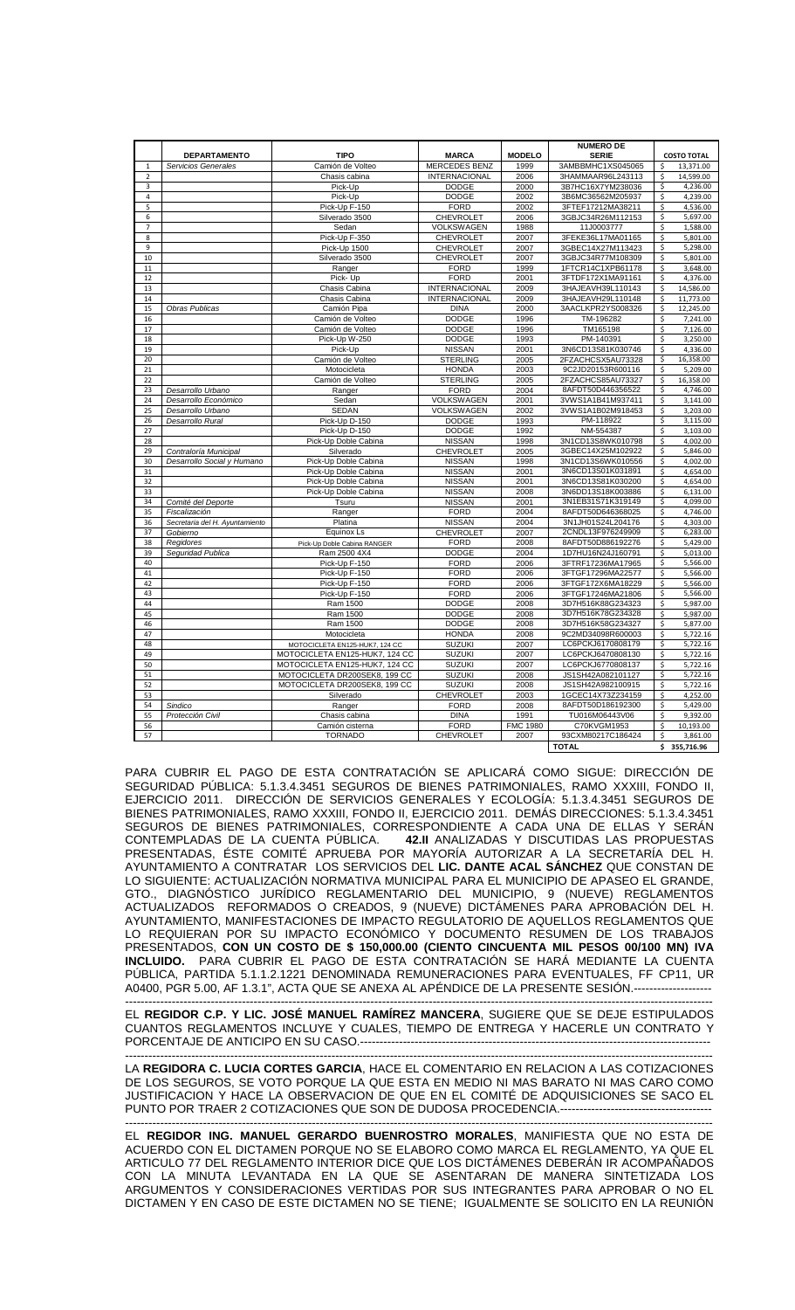|                         | <b>DEPARTAMENTO</b>            | <b>TIPO</b>                    | <b>MARCA</b>         | <b>MODELO</b>   | <b>NUMERO DE</b><br><b>SERIE</b> |                         | <b>COSTO TOTAL</b> |
|-------------------------|--------------------------------|--------------------------------|----------------------|-----------------|----------------------------------|-------------------------|--------------------|
| $\mathbf 1$             | Servicios Generales            | Camión de Volteo               | <b>MERCEDES BENZ</b> | 1999            | 3AMBBMHC1XS045065                | \$                      | 13,371.00          |
| $\overline{\mathbf{c}}$ |                                | Chasis cabina                  | <b>INTERNACIONAL</b> | 2006            | 3HAMMAAR96L243113                | \$                      | 14,599.00          |
| 3                       |                                | Pick-Up                        | <b>DODGE</b>         | 2000            | 3B7HC16X7YM238036                | \$                      | 4,236.00           |
| 4                       |                                | Pick-Up                        | <b>DODGE</b>         | 2002            | 3B6MC36562M205937                | \$                      | 4,239.00           |
| 5                       |                                | Pick-Up F-150                  | <b>FORD</b>          | 2002            | 3FTEF17212MA38211                | \$                      | 4,536.00           |
| 6                       |                                | Silverado 3500                 | <b>CHEVROLET</b>     | 2006            | 3GBJC34R26M112153                | \$                      | 5,697.00           |
| 7                       |                                | Sedan                          | VOLKSWAGEN           | 1988            | 11J0003777                       | \$                      | 1,588.00           |
| 8                       |                                | Pick-Up F-350                  | <b>CHEVROLET</b>     | 2007            | 3FEKE36L17MA01165                | \$                      | 5,801.00           |
| 9                       |                                | Pick-Up 1500                   | <b>CHEVROLET</b>     | 2007            | 3GBEC14X27M113423                | \$                      | 5,298.00           |
| 10                      |                                | Silverado 3500                 | <b>CHEVROLET</b>     | 2007            | 3GBJC34R77M108309                | \$                      | 5,801.00           |
| 11                      |                                | Ranger                         | <b>FORD</b>          | 1999            | 1FTCR14C1XPB61178                | \$                      | 3,648.00           |
| 12                      |                                | Pick-Up                        | <b>FORD</b>          | 2001            | 3FTDF172X1MA91161                | \$                      | 4,376.00           |
| 13                      |                                | Chasis Cabina                  | <b>INTERNACIONAL</b> | 2009            | 3HAJEAVH39L110143                | \$                      | 14,586.00          |
| 14                      |                                | Chasis Cabina                  | <b>INTERNACIONAL</b> | 2009            | 3HAJEAVH29L110148                | \$                      | 11,773.00          |
| 15                      | Obras Publicas                 | Camión Pipa                    | <b>DINA</b>          | 2000            | 3AACLKPR2YS008326                | \$                      | 12,245.00          |
| 16                      |                                | Camión de Volteo               | <b>DODGE</b>         | 1996            | TM-196282                        | \$                      | 7,241.00           |
| 17                      |                                | Camión de Volteo               | <b>DODGE</b>         | 1996            | TM165198                         | \$                      | 7,126.00           |
| 18                      |                                | Pick-Up W-250                  | <b>DODGE</b>         | 1993            | PM-140391                        | $\overline{\mathsf{s}}$ | 3,250.00           |
| 19                      |                                | Pick-Up                        | <b>NISSAN</b>        | 2001            | 3N6CD13S81K030746                | \$                      | 4,336.00           |
| 20                      |                                | Camión de Volteo               | <b>STERLING</b>      | 2005            | 2FZACHCSX5AU73328                | \$                      | 16,358.00          |
| 21                      |                                | Motocicleta                    | <b>HONDA</b>         | 2003            | 9C2JD20153R600116                | \$                      | 5,209.00           |
| 22                      |                                | Camión de Volteo               | <b>STERLING</b>      | 2005            | 2FZACHCS85AU73327                | $\overline{\mathsf{S}}$ | 16,358.00          |
| 23                      | Desarrollo Urbano              | Ranger                         | <b>FORD</b>          | 2004            | 8AFDT50D446356522                | \$                      | 4,746.00           |
| 24                      | Desarrollo Económico           | Sedan                          | <b>VOLKSWAGEN</b>    | 2001            | 3VWS1A1B41M937411                | \$                      | 3,141.00           |
| 25                      | Desarrollo Urbano              | <b>SEDAN</b>                   | <b>VOLKSWAGEN</b>    | 2002            | 3VWS1A1B02M918453                | $\overline{\mathsf{S}}$ | 3,203.00           |
| 26                      | Desarrollo Rural               | Pick-Up D-150                  | <b>DODGE</b>         | 1993            | PM-118922                        | $\overline{\mathsf{S}}$ | 3,115.00           |
| 27                      |                                | Pick-Up D-150                  | <b>DODGE</b>         | 1992            | NM-554387                        | \$                      | 3,103.00           |
| 28                      |                                | Pick-Up Doble Cabina           | <b>NISSAN</b>        | 1998            | 3N1CD13S8WK010798                | \$                      | 4,002.00           |
| 29                      | Contraloría Municipal          | Silverado                      | <b>CHEVROLET</b>     | 2005            | 3GBEC14X25M102922                | \$                      | 5,846.00           |
| 30                      | Desarrollo Social y Humano     | Pick-Up Doble Cabina           | <b>NISSAN</b>        | 1998            | 3N1CD13S6WK010556                | \$                      | 4,002.00           |
| 31                      |                                | Pick-Up Doble Cabina           | <b>NISSAN</b>        | 2001            | 3N6CD13S01K031891                | \$                      | 4,654.00           |
| 32                      |                                | Pick-Up Doble Cabina           | <b>NISSAN</b>        | 2001            | 3N6CD13S81K030200                | \$                      | 4,654.00           |
| 33                      |                                | Pick-Up Doble Cabina           | <b>NISSAN</b>        | 2008            | 3N6DD13S18K003886                | \$                      | 6,131.00           |
| 34                      | Comité del Deporte             | Tsuru                          | <b>NISSAN</b>        | 2001            | 3N1EB31S71K319149                | Ś                       | 4,099.00           |
| 35                      | Fiscalización                  | Ranger                         | <b>FORD</b>          | 2004            | 8AFDT50D646368025                | \$                      | 4,746.00           |
| 36                      | Secretaria del H. Ayuntamiento | Platina                        | <b>NISSAN</b>        | 2004            | 3N1JH01S24L204176                | \$                      | 4,303.00           |
| 37                      | Gobierno                       | Equinox Ls                     | <b>CHEVROLET</b>     | 2007            | 2CNDL13F976249909                | \$                      | 6,283.00           |
| 38                      | Regidores                      | Pick-Up Doble Cabina RANGER    | <b>FORD</b>          | 2008            | 8AFDT50D886192276                | \$                      | 5,429.00           |
| 39                      | Seguridad Publica              | Ram 2500 4X4                   | <b>DODGE</b>         | 2004            | 1D7HU16N24J160791                | \$                      | 5,013.00           |
| 40                      |                                | Pick-Up F-150                  | <b>FORD</b>          | 2006            | 3FTRF17236MA17965                | \$                      | 5,566.00           |
| 41                      |                                | Pick-Up F-150                  | <b>FORD</b>          | 2006            | 3FTGF17296MA22577                | \$                      | 5,566.00           |
| 42                      |                                | Pick-Up F-150                  | <b>FORD</b>          | 2006            | 3FTGF172X6MA18229                | \$                      | 5,566.00           |
| 43                      |                                | Pick-Up F-150                  | <b>FORD</b>          | 2006            | 3FTGF17246MA21806                | $\overline{\mathsf{S}}$ | 5,566.00           |
| 44                      |                                | Ram 1500                       | <b>DODGE</b>         | 2008            | 3D7H516K88G234323                | \$                      | 5,987.00           |
| 45                      |                                | Ram 1500                       | <b>DODGE</b>         | 2008            | 3D7H516K78G234328                | \$                      | 5,987.00           |
| 46                      |                                | Ram 1500                       | <b>DODGE</b>         | 2008            | 3D7H516K58G234327                | \$                      | 5,877.00           |
| 47                      |                                | Motocicleta                    | <b>HONDA</b>         | 2008            | 9C2MD34098R600003                | $\overline{\mathsf{S}}$ | 5,722.16           |
| 48                      |                                | MOTOCICLETA EN125-HUK7, 124 CC | <b>SUZUKI</b>        | 2007            | LC6PCKJ6170808179                | \$                      | 5,722.16           |
| 49                      |                                | MOTOCICLETA EN125-HUK7, 124 CC | <b>SUZUKI</b>        | 2007            | LC6PCKJ6470808130                | \$                      | 5,722.16           |
| 50                      |                                | MOTOCICLETA EN125-HUK7, 124 CC | <b>SUZUKI</b>        | 2007            | LC6PCKJ6770808137                | \$                      | 5,722.16           |
| 51                      |                                | MOTOCICLETA DR200SEK8, 199 CC  | <b>SUZUKI</b>        | 2008            | JS1SH42A082101127                | \$                      | 5,722.16           |
| 52                      |                                | MOTOCICLETA DR200SEK8, 199 CC  | <b>SUZUKI</b>        | 2008            | JS1SH42A982100915                | \$                      | 5,722.16           |
| 53                      |                                | Silverado                      | <b>CHEVROLET</b>     | 2003            | 1GCEC14X73Z234159                | \$                      | 4,252.00           |
| 54                      | Sindico                        | Ranger                         | <b>FORD</b>          | 2008            | 8AFDT50D186192300                | \$                      | 5,429.00           |
| 55                      | Protección Civil               | Chasis cabina                  | <b>DINA</b>          | 1991            | TU016M06443V06                   | Ś                       | 9,392.00           |
| 56                      |                                | Camión cisterna                | <b>FORD</b>          | <b>FMC 1980</b> | C70KVGM1953                      | \$                      | 10,193.00          |
| 57                      |                                | <b>TORNADO</b>                 | <b>CHEVROLET</b>     | 2007            | 93CXM80217C186424                | \$                      | 3,861.00           |
|                         |                                |                                |                      |                 | <b>TOTAL</b>                     |                         | \$355,716.96       |

PARA CUBRIR EL PAGO DE ESTA CONTRATACIÓN SE APLICARÁ COMO SIGUE: DIRECCIÓN DE SEGURIDAD PÚBLICA: 5.1.3.4.3451 SEGUROS DE BIENES PATRIMONIALES, RAMO XXXIII, FONDO II, EJERCICIO 2011. DIRECCIÓN DE SERVICIOS GENERALES Y ECOLOGÍA: 5.1.3.4.3451 SEGUROS DE BIENES PATRIMONIALES, RAMO XXXIII, FONDO II, EJERCICIO 2011. DEMÁS DIRECCIONES: 5.1.3.4.3451 SEGUROS DE BIENES PATRIMONIALES, CORRESPONDIENTE A CADA UNA DE ELLAS Y SERÁN CONTEMPLADAS DE LA CUENTA PÚBLICA. **42.II** ANALIZADAS Y DISCUTIDAS LAS PROPUESTAS PRESENTADAS, ÉSTE COMITÉ APRUEBA POR MAYORÍA AUTORIZAR A LA SECRETARÍA DEL H. AYUNTAMIENTO A CONTRATAR LOS SERVICIOS DEL **LIC. DANTE ACAL SÁNCHEZ** QUE CONSTAN DE LO SIGUIENTE: ACTUALIZACIÓN NORMATIVA MUNICIPAL PARA EL MUNICIPIO DE APASEO EL GRANDE, GTO., DIAGNÓSTICO JURÍDICO REGLAMENTARIO DEL MUNICIPIO, 9 (NUEVE) REGLAMENTOS ACTUALIZADOS REFORMADOS O CREADOS, 9 (NUEVE) DICTÁMENES PARA APROBACIÓN DEL H. AYUNTAMIENTO, MANIFESTACIONES DE IMPACTO REGULATORIO DE AQUELLOS REGLAMENTOS QUE LO REQUIERAN POR SU IMPACTO ECONÓMICO Y DOCUMENTO RESUMEN DE LOS TRABAJOS PRESENTADOS, **CON UN COSTO DE \$ 150,000.00 (CIENTO CINCUENTA MIL PESOS 00/100 MN) IVA INCLUIDO.** PARA CUBRIR EL PAGO DE ESTA CONTRATACIÓN SE HARÁ MEDIANTE LA CUENTA PÚBLICA, PARTIDA 5.1.1.2.1221 DENOMINADA REMUNERACIONES PARA EVENTUALES, FF CP11, UR A0400, PGR 5.00, AF 1.3.1", ACTA QUE SE ANEXA AL APÉNDICE DE LA PRESENTE SESIÓN.--------------------

------------------------------------------------------------------------------------------------------------------------------------------------------- EL **REGIDOR C.P. Y LIC. JOSÉ MANUEL RAMÍREZ MANCERA**, SUGIERE QUE SE DEJE ESTIPULADOS CUANTOS REGLAMENTOS INCLUYE Y CUALES, TIEMPO DE ENTREGA Y HACERLE UN CONTRATO Y PORCENTAJE DE ANTICIPO EN SU CASO.------------------------------------------------------------------------------------------

------------------------------------------------------------------------------------------------------------------------------------------------------- LA **REGIDORA C. LUCIA CORTES GARCIA**, HACE EL COMENTARIO EN RELACION A LAS COTIZACIONES DE LOS SEGUROS, SE VOTO PORQUE LA QUE ESTA EN MEDIO NI MAS BARATO NI MAS CARO COMO JUSTIFICACION Y HACE LA OBSERVACION DE QUE EN EL COMITÉ DE ADQUISICIONES SE SACO EL PUNTO POR TRAER 2 COTIZACIONES QUE SON DE DUDOSA PROCEDENCIA.---

------------------------------------------------------------------------------------------------------------------------------------------------------- EL **REGIDOR ING. MANUEL GERARDO BUENROSTRO MORALES**, MANIFIESTA QUE NO ESTA DE ACUERDO CON EL DICTAMEN PORQUE NO SE ELABORO COMO MARCA EL REGLAMENTO, YA QUE EL ARTICULO 77 DEL REGLAMENTO INTERIOR DICE QUE LOS DICTÁMENES DEBERÁN IR ACOMPAÑADOS CON LA MINUTA LEVANTADA EN LA QUE SE ASENTARAN DE MANERA SINTETIZADA LOS ARGUMENTOS Y CONSIDERACIONES VERTIDAS POR SUS INTEGRANTES PARA APROBAR O NO EL DICTAMEN Y EN CASO DE ESTE DICTAMEN NO SE TIENE; IGUALMENTE SE SOLICITO EN LA REUNIÓN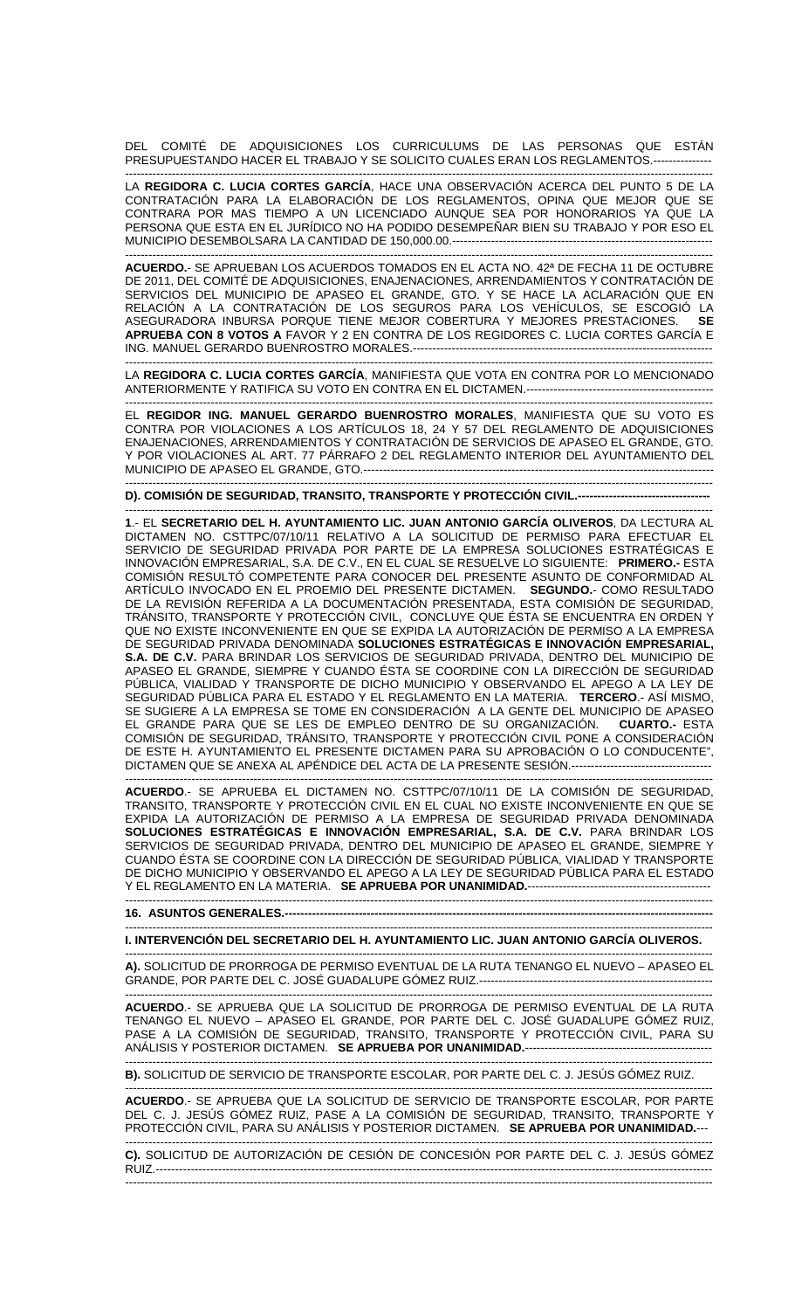DEL COMITÉ DE ADQUISICIONES LOS CURRICULUMS DE LAS PERSONAS QUE ESTÁN PRESUPUESTANDO HACER EL TRABAJO Y SE SOLICITO CUALES ERAN LOS REGLAMENTOS.---------------

------------------------------------------------------------------------------------------------------------------------------------------------------- LA **REGIDORA C. LUCIA CORTES GARCÍA**, HACE UNA OBSERVACIÓN ACERCA DEL PUNTO 5 DE LA CONTRATACIÓN PARA LA ELABORACIÓN DE LOS REGLAMENTOS, OPINA QUE MEJOR QUE SE CONTRARA POR MAS TIEMPO A UN LICENCIADO AUNQUE SEA POR HONORARIOS YA QUE LA PERSONA QUE ESTA EN EL JURÍDICO NO HA PODIDO DESEMPEÑAR BIEN SU TRABAJO Y POR ESO EL MUNICIPIO DESEMBOLSARA LA CANTIDAD DE 150,000.00.----

------------------------------------------------------------------------------------------------------------------------------------------------------- **ACUERDO.**- SE APRUEBAN LOS ACUERDOS TOMADOS EN EL ACTA NO. 42ª DE FECHA 11 DE OCTUBRE DE 2011, DEL COMITÉ DE ADQUISICIONES, ENAJENACIONES, ARRENDAMIENTOS Y CONTRATACIÓN DE SERVICIOS DEL MUNICIPIO DE APASEO EL GRANDE, GTO. Y SE HACE LA ACLARACIÓN QUE EN RELACIÓN A LA CONTRATACIÓN DE LOS SEGUROS PARA LOS VEHÍCULOS, SE ESCOGIÓ LA ASEGURADORA INBURSA PORQUE TIENE MEJOR COBERTURA Y MEJORES PRESTACIONES. **SE APRUEBA CON 8 VOTOS A** FAVOR Y 2 EN CONTRA DE LOS REGIDORES C. LUCIA CORTES GARCÍA E ING. MANUEL GERARDO BUENROSTRO MORALES.-----------------------------------------------------------------------------

------------------------------------------------------------------------------------------------------------------------------------------------------- LA **REGIDORA C. LUCIA CORTES GARCÍA**, MANIFIESTA QUE VOTA EN CONTRA POR LO MENCIONADO ANTERIORMENTE Y RATIFICA SU VOTO EN CONTRA EN EL DICTAMEN.------------------------------

------------------------------------------------------------------------------------------------------------------------------------------------------- EL **REGIDOR ING. MANUEL GERARDO BUENROSTRO MORALES**, MANIFIESTA QUE SU VOTO ES CONTRA POR VIOLACIONES A LOS ARTÍCULOS 18, 24 Y 57 DEL REGLAMENTO DE ADQUISICIONES ENAJENACIONES, ARRENDAMIENTOS Y CONTRATACIÓN DE SERVICIOS DE APASEO EL GRANDE, GTO. Y POR VIOLACIONES AL ART. 77 PÁRRAFO 2 DEL REGLAMENTO INTERIOR DEL AYUNTAMIENTO DEL MUNICIPIO DE APASEO EL GRANDE, GTO.------------------------------------------------------------------------------------------

------------------------------------------------------------------------------------------------------------------------------------------------------- **D). COMISIÓN DE SEGURIDAD, TRANSITO, TRANSPORTE Y PROTECCIÓN CIVIL.----------------------------------**

------------------------------------------------------------------------------------------------------------------------------------------------------- **1**.- EL **SECRETARIO DEL H. AYUNTAMIENTO LIC. JUAN ANTONIO GARCÍA OLIVEROS**, DA LECTURA AL DICTAMEN NO. CSTTPC/07/10/11 RELATIVO A LA SOLICITUD DE PERMISO PARA EFECTUAR EL SERVICIO DE SEGURIDAD PRIVADA POR PARTE DE LA EMPRESA SOLUCIONES ESTRATÉGICAS E INNOVACIÓN EMPRESARIAL, S.A. DE C.V., EN EL CUAL SE RESUELVE LO SIGUIENTE: **PRIMERO.-** ESTA COMISIÓN RESULTÓ COMPETENTE PARA CONOCER DEL PRESENTE ASUNTO DE CONFORMIDAD AL ARTÍCULO INVOCADO EN EL PROEMIO DEL PRESENTE DICTAMEN. **SEGUNDO.**- COMO RESULTADO DE LA REVISIÓN REFERIDA A LA DOCUMENTACIÓN PRESENTADA, ESTA COMISIÓN DE SEGURIDAD, TRÁNSITO, TRANSPORTE Y PROTECCIÓN CIVIL, CONCLUYE QUE ÉSTA SE ENCUENTRA EN ORDEN Y QUE NO EXISTE INCONVENIENTE EN QUE SE EXPIDA LA AUTORIZACIÓN DE PERMISO A LA EMPRESA DE SEGURIDAD PRIVADA DENOMINADA **SOLUCIONES ESTRATÉGICAS E INNOVACIÓN EMPRESARIAL, S.A. DE C.V.** PARA BRINDAR LOS SERVICIOS DE SEGURIDAD PRIVADA, DENTRO DEL MUNICIPIO DE APASEO EL GRANDE, SIEMPRE Y CUANDO ÉSTA SE COORDINE CON LA DIRECCIÓN DE SEGURIDAD PÚBLICA, VIALIDAD Y TRANSPORTE DE DICHO MUNICIPIO Y OBSERVANDO EL APEGO A LA LEY DE SEGURIDAD PÚBLICA PARA EL ESTADO Y EL REGLAMENTO EN LA MATERIA. **TERCERO**.- ASÍ MISMO, SE SUGIERE A LA EMPRESA SE TOME EN CONSIDERACIÓN A LA GENTE DEL MUNICIPIO DE APASEO EL GRANDE PARA QUE SE LES DE EMPLEO DENTRO DE SU ORGANIZACIÓN. **CUARTO.-** ESTA COMISIÓN DE SEGURIDAD, TRÁNSITO, TRANSPORTE Y PROTECCIÓN CIVIL PONE A CONSIDERACIÓN DE ESTE H. AYUNTAMIENTO EL PRESENTE DICTAMEN PARA SU APROBACIÓN O LO CONDUCENTE", DICTAMEN QUE SE ANEXA AL APÉNDICE DEL ACTA DE LA PRESENTE SESIÓN.------------------------------------

------------------------------------------------------------------------------------------------------------------------------------------------------- **ACUERDO**.- SE APRUEBA EL DICTAMEN NO. CSTTPC/07/10/11 DE LA COMISIÓN DE SEGURIDAD, TRANSITO, TRANSPORTE Y PROTECCIÓN CIVIL EN EL CUAL NO EXISTE INCONVENIENTE EN QUE SE EXPIDA LA AUTORIZACIÓN DE PERMISO A LA EMPRESA DE SEGURIDAD PRIVADA DENOMINADA **SOLUCIONES ESTRATÉGICAS E INNOVACIÓN EMPRESARIAL, S.A. DE C.V.** PARA BRINDAR LOS SERVICIOS DE SEGURIDAD PRIVADA, DENTRO DEL MUNICIPIO DE APASEO EL GRANDE, SIEMPRE Y CUANDO ÉSTA SE COORDINE CON LA DIRECCIÓN DE SEGURIDAD PÚBLICA, VIALIDAD Y TRANSPORTE DE DICHO MUNICIPIO Y OBSERVANDO EL APEGO A LA LEY DE SEGURIDAD PÚBLICA PARA EL ESTADO Y EL REGLAMENTO EN LA MATERIA. SE APRUEBA POR UNANIMIDAD.---------------

------------------------------------------------------------------------------------------------------------------------------------------------------- **16. ASUNTOS GENERALES.--------------------------------------------------------------------------------------------------------------**  -------------------------------------------------------------------------------------------------------------------------------------------------------

**I. INTERVENCIÓN DEL SECRETARIO DEL H. AYUNTAMIENTO LIC. JUAN ANTONIO GARCÍA OLIVEROS.** 

------------------------------------------------------------------------------------------------------------------------------------------------------- **A).** SOLICITUD DE PRORROGA DE PERMISO EVENTUAL DE LA RUTA TENANGO EL NUEVO – APASEO EL GRANDE, POR PARTE DEL C. JOSÉ GUADALUPE GÓMEZ RUIZ.------------------------------------------------------------

-------------------------------------------------------------------------------------------------------------------------------------------------------

**ACUERDO**.- SE APRUEBA QUE LA SOLICITUD DE PRORROGA DE PERMISO EVENTUAL DE LA RUTA TENANGO EL NUEVO – APASEO EL GRANDE, POR PARTE DEL C. JOSÉ GUADALUPE GÓMEZ RUIZ, PASE A LA COMISIÓN DE SEGURIDAD, TRANSITO, TRANSPORTE Y PROTECCIÓN CIVIL, PARA SU ANÁLISIS Y POSTERIOR DICTAMEN. **SE APRUEBA POR UNANIMIDAD.**------------------------------------------------

------------------------------------------------------------------------------------------------------------------------------------------------------- **B).** SOLICITUD DE SERVICIO DE TRANSPORTE ESCOLAR, POR PARTE DEL C. J. JESÚS GÓMEZ RUIZ.

------------------------------------------------------------------------------------------------------------------------------------------------------- **ACUERDO**.- SE APRUEBA QUE LA SOLICITUD DE SERVICIO DE TRANSPORTE ESCOLAR, POR PARTE DEL C. J. JESÚS GÓMEZ RUIZ, PASE A LA COMISIÓN DE SEGURIDAD, TRANSITO, TRANSPORTE Y PROTECCIÓN CIVIL, PARA SU ANÁLISIS Y POSTERIOR DICTAMEN. **SE APRUEBA POR UNANIMIDAD.**---

------------------------------------------------------------------------------------------------------------------------------------------------------- **C).** SOLICITUD DE AUTORIZACIÓN DE CESIÓN DE CONCESIÓN POR PARTE DEL C. J. JESÚS GÓMEZ RUIZ.----------------------------------------------------------------------------------------------------------------------------------------------- -------------------------------------------------------------------------------------------------------------------------------------------------------